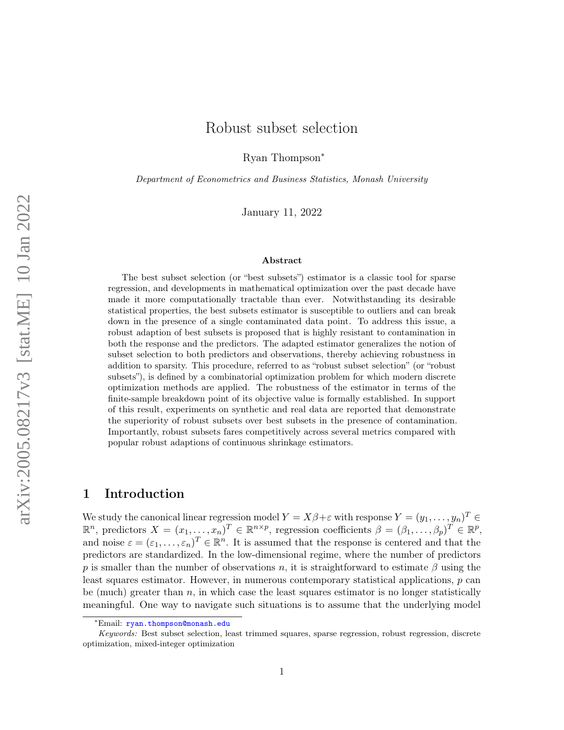# Robust subset selection

Ryan Thompson<sup>∗</sup>

Department of Econometrics and Business Statistics, Monash University

January 11, 2022

#### Abstract

The best subset selection (or "best subsets") estimator is a classic tool for sparse regression, and developments in mathematical optimization over the past decade have made it more computationally tractable than ever. Notwithstanding its desirable statistical properties, the best subsets estimator is susceptible to outliers and can break down in the presence of a single contaminated data point. To address this issue, a robust adaption of best subsets is proposed that is highly resistant to contamination in both the response and the predictors. The adapted estimator generalizes the notion of subset selection to both predictors and observations, thereby achieving robustness in addition to sparsity. This procedure, referred to as "robust subset selection" (or "robust subsets"), is defined by a combinatorial optimization problem for which modern discrete optimization methods are applied. The robustness of the estimator in terms of the finite-sample breakdown point of its objective value is formally established. In support of this result, experiments on synthetic and real data are reported that demonstrate the superiority of robust subsets over best subsets in the presence of contamination. Importantly, robust subsets fares competitively across several metrics compared with popular robust adaptions of continuous shrinkage estimators.

## 1 Introduction

We study the canonical linear regression model  $Y = X\beta + \varepsilon$  with response  $Y = (y_1, \ldots, y_n)^T \in$  $\mathbb{R}^n$ , predictors  $X = (x_1, \ldots, x_n)^T \in \mathbb{R}^{n \times p}$ , regression coefficients  $\beta = (\beta_1, \ldots, \beta_p)^T \in \mathbb{R}^p$ , and noise  $\varepsilon = (\varepsilon_1, \ldots, \varepsilon_n)^T \in \mathbb{R}^n$ . It is assumed that the response is centered and that the predictors are standardized. In the low-dimensional regime, where the number of predictors p is smaller than the number of observations n, it is straightforward to estimate  $\beta$  using the least squares estimator. However, in numerous contemporary statistical applications, p can be (much) greater than  $n$ , in which case the least squares estimator is no longer statistically meaningful. One way to navigate such situations is to assume that the underlying model

<sup>∗</sup>Email: [ryan.thompson@monash.edu](mailto:ryan.thompson@monash.edu)

Keywords: Best subset selection, least trimmed squares, sparse regression, robust regression, discrete optimization, mixed-integer optimization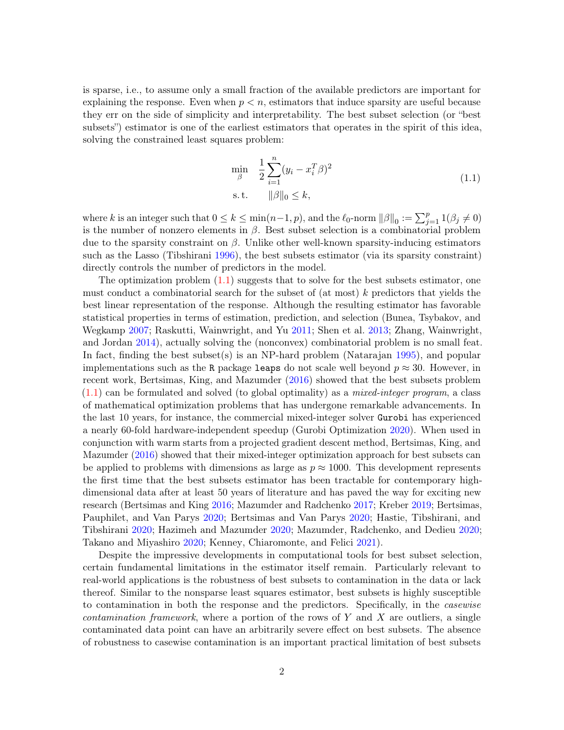is sparse, i.e., to assume only a small fraction of the available predictors are important for explaining the response. Even when  $p \leq n$ , estimators that induce sparsity are useful because they err on the side of simplicity and interpretability. The best subset selection (or "best subsets") estimator is one of the earliest estimators that operates in the spirit of this idea, solving the constrained least squares problem:

<span id="page-1-0"></span>
$$
\min_{\beta} \quad \frac{1}{2} \sum_{i=1}^{n} (y_i - x_i^T \beta)^2
$$
\n
$$
\text{s.t.} \quad \|\beta\|_0 \le k,
$$
\n(1.1)

where k is an integer such that  $0 \le k \le \min(n-1, p)$ , and the  $\ell_0$ -norm  $||\beta||_0 := \sum_{j=1}^p 1(\beta_j \ne 0)$ is the number of nonzero elements in  $\beta$ . Best subset selection is a combinatorial problem due to the sparsity constraint on  $\beta$ . Unlike other well-known sparsity-inducing estimators such as the Lasso (Tibshirani [1996\)](#page-28-0), the best subsets estimator (via its sparsity constraint) directly controls the number of predictors in the model.

The optimization problem  $(1.1)$  suggests that to solve for the best subsets estimator, one must conduct a combinatorial search for the subset of (at most) k predictors that yields the best linear representation of the response. Although the resulting estimator has favorable statistical properties in terms of estimation, prediction, and selection (Bunea, Tsybakov, and Wegkamp [2007;](#page-25-0) Raskutti, Wainwright, and Yu [2011;](#page-28-1) Shen et al. [2013;](#page-28-2) Zhang, Wainwright, and Jordan [2014\)](#page-28-3), actually solving the (nonconvex) combinatorial problem is no small feat. In fact, finding the best subset(s) is an NP-hard problem (Natarajan [1995\)](#page-27-0), and popular implementations such as the R package leaps do not scale well beyond  $p \approx 30$ . However, in recent work, Bertsimas, King, and Mazumder [\(2016\)](#page-25-1) showed that the best subsets problem  $(1.1)$  can be formulated and solved (to global optimality) as a *mixed-integer program*, a class of mathematical optimization problems that has undergone remarkable advancements. In the last 10 years, for instance, the commercial mixed-integer solver Gurobi has experienced a nearly 60-fold hardware-independent speedup (Gurobi Optimization [2020\)](#page-26-0). When used in conjunction with warm starts from a projected gradient descent method, Bertsimas, King, and Mazumder [\(2016\)](#page-25-1) showed that their mixed-integer optimization approach for best subsets can be applied to problems with dimensions as large as  $p \approx 1000$ . This development represents the first time that the best subsets estimator has been tractable for contemporary highdimensional data after at least 50 years of literature and has paved the way for exciting new research (Bertsimas and King [2016;](#page-25-2) Mazumder and Radchenko [2017;](#page-27-1) Kreber [2019;](#page-27-2) Bertsimas, Pauphilet, and Van Parys [2020;](#page-25-3) Bertsimas and Van Parys [2020;](#page-25-4) Hastie, Tibshirani, and Tibshirani [2020;](#page-26-1) Hazimeh and Mazumder [2020;](#page-26-2) Mazumder, Radchenko, and Dedieu [2020;](#page-27-3) Takano and Miyashiro [2020;](#page-28-4) Kenney, Chiaromonte, and Felici [2021\)](#page-27-4).

Despite the impressive developments in computational tools for best subset selection, certain fundamental limitations in the estimator itself remain. Particularly relevant to real-world applications is the robustness of best subsets to contamination in the data or lack thereof. Similar to the nonsparse least squares estimator, best subsets is highly susceptible to contamination in both the response and the predictors. Specifically, in the casewise *contamination framework*, where a portion of the rows of Y and X are outliers, a single contaminated data point can have an arbitrarily severe effect on best subsets. The absence of robustness to casewise contamination is an important practical limitation of best subsets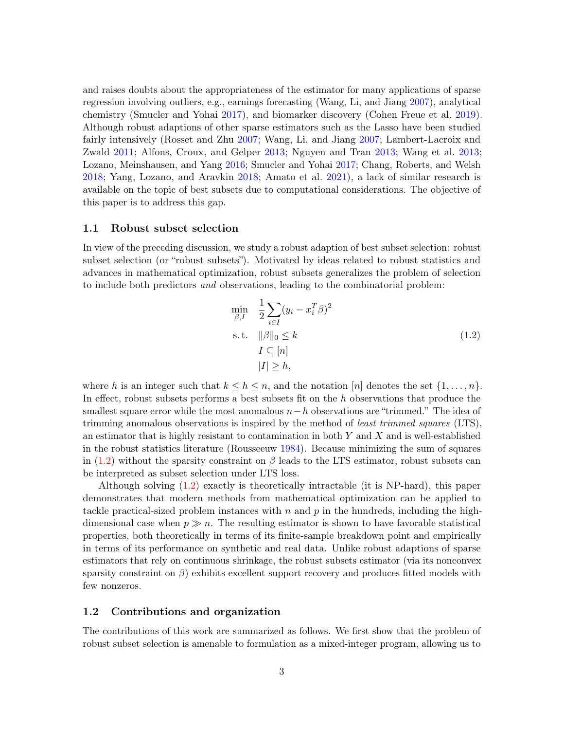and raises doubts about the appropriateness of the estimator for many applications of sparse regression involving outliers, e.g., earnings forecasting (Wang, Li, and Jiang [2007\)](#page-28-5), analytical chemistry (Smucler and Yohai [2017\)](#page-28-6), and biomarker discovery (Cohen Freue et al. [2019\)](#page-26-3). Although robust adaptions of other sparse estimators such as the Lasso have been studied fairly intensively (Rosset and Zhu [2007;](#page-28-7) Wang, Li, and Jiang [2007;](#page-28-5) Lambert-Lacroix and Zwald [2011;](#page-27-5) Alfons, Croux, and Gelper [2013;](#page-25-5) Nguyen and Tran [2013;](#page-27-6) Wang et al. [2013;](#page-28-8) Lozano, Meinshausen, and Yang [2016;](#page-27-7) Smucler and Yohai [2017;](#page-28-6) Chang, Roberts, and Welsh [2018;](#page-26-4) Yang, Lozano, and Aravkin [2018;](#page-28-9) Amato et al. [2021\)](#page-25-6), a lack of similar research is available on the topic of best subsets due to computational considerations. The objective of this paper is to address this gap.

### 1.1 Robust subset selection

In view of the preceding discussion, we study a robust adaption of best subset selection: robust subset selection (or "robust subsets"). Motivated by ideas related to robust statistics and advances in mathematical optimization, robust subsets generalizes the problem of selection to include both predictors and observations, leading to the combinatorial problem:

<span id="page-2-0"></span>
$$
\min_{\beta, I} \quad \frac{1}{2} \sum_{i \in I} (y_i - x_i^T \beta)^2
$$
\n
$$
\text{s.t.} \quad \|\beta\|_0 \le k
$$
\n
$$
I \subseteq [n]
$$
\n
$$
|I| \ge h,
$$
\n(1.2)

where h is an integer such that  $k \leq h \leq n$ , and the notation [n] denotes the set  $\{1, \ldots, n\}$ . In effect, robust subsets performs a best subsets fit on the h observations that produce the smallest square error while the most anomalous  $n-h$  observations are "trimmed." The idea of trimming anomalous observations is inspired by the method of least trimmed squares (LTS), an estimator that is highly resistant to contamination in both  $Y$  and  $X$  and is well-established in the robust statistics literature (Rousseeuw [1984\)](#page-28-10). Because minimizing the sum of squares in [\(1.2\)](#page-2-0) without the sparsity constraint on  $\beta$  leads to the LTS estimator, robust subsets can be interpreted as subset selection under LTS loss.

Although solving [\(1.2\)](#page-2-0) exactly is theoretically intractable (it is NP-hard), this paper demonstrates that modern methods from mathematical optimization can be applied to tackle practical-sized problem instances with  $n$  and  $p$  in the hundreds, including the highdimensional case when  $p \gg n$ . The resulting estimator is shown to have favorable statistical properties, both theoretically in terms of its finite-sample breakdown point and empirically in terms of its performance on synthetic and real data. Unlike robust adaptions of sparse estimators that rely on continuous shrinkage, the robust subsets estimator (via its nonconvex sparsity constraint on  $\beta$ ) exhibits excellent support recovery and produces fitted models with few nonzeros.

#### 1.2 Contributions and organization

The contributions of this work are summarized as follows. We first show that the problem of robust subset selection is amenable to formulation as a mixed-integer program, allowing us to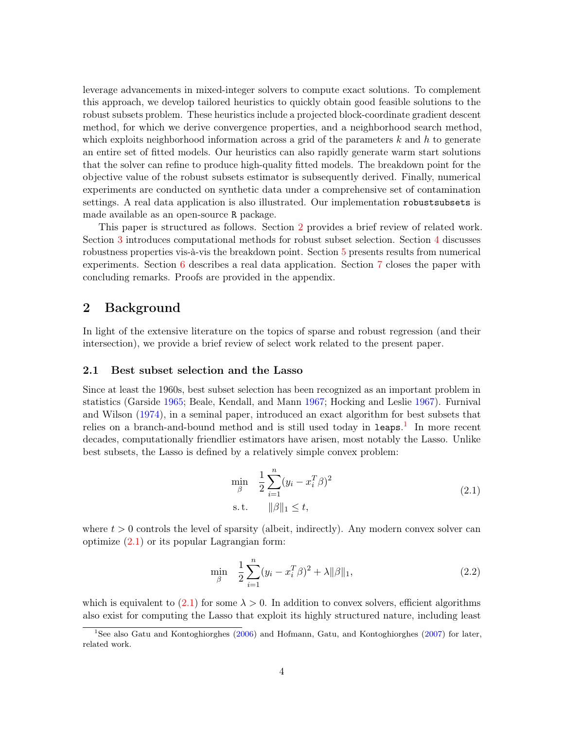leverage advancements in mixed-integer solvers to compute exact solutions. To complement this approach, we develop tailored heuristics to quickly obtain good feasible solutions to the robust subsets problem. These heuristics include a projected block-coordinate gradient descent method, for which we derive convergence properties, and a neighborhood search method, which exploits neighborhood information across a grid of the parameters  $k$  and  $h$  to generate an entire set of fitted models. Our heuristics can also rapidly generate warm start solutions that the solver can refine to produce high-quality fitted models. The breakdown point for the objective value of the robust subsets estimator is subsequently derived. Finally, numerical experiments are conducted on synthetic data under a comprehensive set of contamination settings. A real data application is also illustrated. Our implementation robustsubsets is made available as an open-source R package.

This paper is structured as follows. Section [2](#page-3-0) provides a brief review of related work. Section [3](#page-6-0) introduces computational methods for robust subset selection. Section [4](#page-14-0) discusses robustness properties vis-à-vis the breakdown point. Section [5](#page-15-0) presents results from numerical experiments. Section [6](#page-22-0) describes a real data application. Section [7](#page-24-0) closes the paper with concluding remarks. Proofs are provided in the appendix.

## <span id="page-3-0"></span>2 Background

In light of the extensive literature on the topics of sparse and robust regression (and their intersection), we provide a brief review of select work related to the present paper.

### 2.1 Best subset selection and the Lasso

Since at least the 1960s, best subset selection has been recognized as an important problem in statistics (Garside [1965;](#page-26-5) Beale, Kendall, and Mann [1967;](#page-25-7) Hocking and Leslie [1967\)](#page-26-6). Furnival and Wilson [\(1974\)](#page-26-7), in a seminal paper, introduced an exact algorithm for best subsets that relies on a branch-and-bound method and is still used today in leaps.<sup>[1](#page-3-1)</sup> In more recent decades, computationally friendlier estimators have arisen, most notably the Lasso. Unlike best subsets, the Lasso is defined by a relatively simple convex problem:

<span id="page-3-2"></span>
$$
\min_{\beta} \quad \frac{1}{2} \sum_{i=1}^{n} (y_i - x_i^T \beta)^2
$$
\n
$$
\text{s.t.} \quad \|\beta\|_1 \le t,
$$
\n(2.1)

where  $t > 0$  controls the level of sparsity (albeit, indirectly). Any modern convex solver can optimize  $(2.1)$  or its popular Lagrangian form:

<span id="page-3-3"></span>
$$
\min_{\beta} \quad \frac{1}{2} \sum_{i=1}^{n} (y_i - x_i^T \beta)^2 + \lambda ||\beta||_1,\tag{2.2}
$$

which is equivalent to  $(2.1)$  for some  $\lambda > 0$ . In addition to convex solvers, efficient algorithms also exist for computing the Lasso that exploit its highly structured nature, including least

<span id="page-3-1"></span><sup>&</sup>lt;sup>1</sup>See also Gatu and Kontoghiorghes ( $2006$ ) and Hofmann, Gatu, and Kontoghiorghes ( $2007$ ) for later, related work.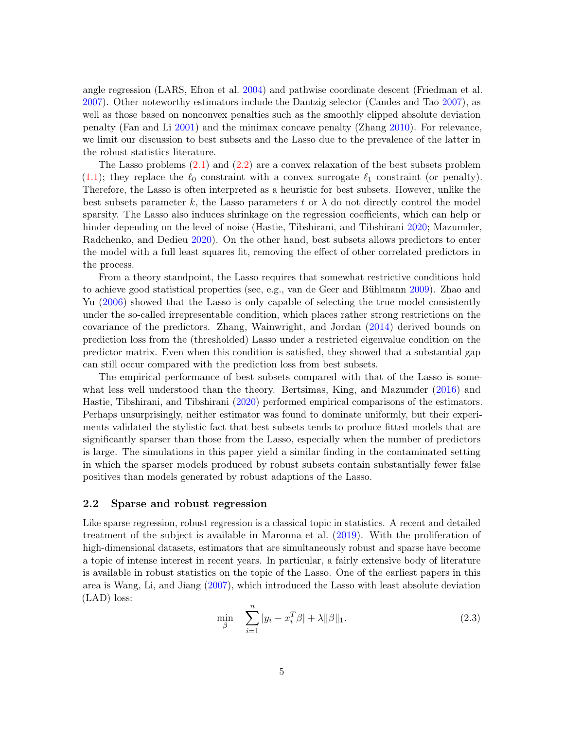angle regression (LARS, Efron et al. [2004\)](#page-26-10) and pathwise coordinate descent (Friedman et al. [2007\)](#page-26-11). Other noteworthy estimators include the Dantzig selector (Candes and Tao [2007\)](#page-25-8), as well as those based on nonconvex penalties such as the smoothly clipped absolute deviation penalty (Fan and Li [2001\)](#page-26-12) and the minimax concave penalty (Zhang [2010\)](#page-28-11). For relevance, we limit our discussion to best subsets and the Lasso due to the prevalence of the latter in the robust statistics literature.

The Lasso problems [\(2.1\)](#page-3-2) and [\(2.2\)](#page-3-3) are a convex relaxation of the best subsets problem  $(1.1)$ ; they replace the  $\ell_0$  constraint with a convex surrogate  $\ell_1$  constraint (or penalty). Therefore, the Lasso is often interpreted as a heuristic for best subsets. However, unlike the best subsets parameter k, the Lasso parameters t or  $\lambda$  do not directly control the model sparsity. The Lasso also induces shrinkage on the regression coefficients, which can help or hinder depending on the level of noise (Hastie, Tibshirani, and Tibshirani [2020;](#page-26-1) Mazumder, Radchenko, and Dedieu [2020\)](#page-27-3). On the other hand, best subsets allows predictors to enter the model with a full least squares fit, removing the effect of other correlated predictors in the process.

From a theory standpoint, the Lasso requires that somewhat restrictive conditions hold to achieve good statistical properties (see, e.g., van de Geer and Bühlmann [2009\)](#page-28-12). Zhao and Yu [\(2006\)](#page-28-13) showed that the Lasso is only capable of selecting the true model consistently under the so-called irrepresentable condition, which places rather strong restrictions on the covariance of the predictors. Zhang, Wainwright, and Jordan [\(2014\)](#page-28-3) derived bounds on prediction loss from the (thresholded) Lasso under a restricted eigenvalue condition on the predictor matrix. Even when this condition is satisfied, they showed that a substantial gap can still occur compared with the prediction loss from best subsets.

The empirical performance of best subsets compared with that of the Lasso is somewhat less well understood than the theory. Bertsimas, King, and Mazumder [\(2016\)](#page-25-1) and Hastie, Tibshirani, and Tibshirani [\(2020\)](#page-26-1) performed empirical comparisons of the estimators. Perhaps unsurprisingly, neither estimator was found to dominate uniformly, but their experiments validated the stylistic fact that best subsets tends to produce fitted models that are significantly sparser than those from the Lasso, especially when the number of predictors is large. The simulations in this paper yield a similar finding in the contaminated setting in which the sparser models produced by robust subsets contain substantially fewer false positives than models generated by robust adaptions of the Lasso.

### 2.2 Sparse and robust regression

Like sparse regression, robust regression is a classical topic in statistics. A recent and detailed treatment of the subject is available in Maronna et al. [\(2019\)](#page-27-8). With the proliferation of high-dimensional datasets, estimators that are simultaneously robust and sparse have become a topic of intense interest in recent years. In particular, a fairly extensive body of literature is available in robust statistics on the topic of the Lasso. One of the earliest papers in this area is Wang, Li, and Jiang [\(2007\)](#page-28-5), which introduced the Lasso with least absolute deviation (LAD) loss:

<span id="page-4-0"></span>
$$
\min_{\beta} \quad \sum_{i=1}^{n} |y_i - x_i^T \beta| + \lambda ||\beta||_1. \tag{2.3}
$$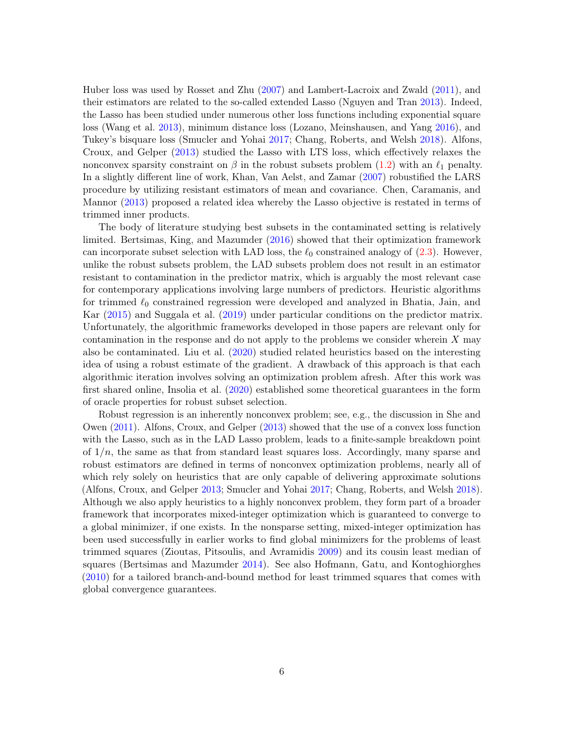Huber loss was used by Rosset and Zhu [\(2007\)](#page-28-7) and Lambert-Lacroix and Zwald [\(2011\)](#page-27-5), and their estimators are related to the so-called extended Lasso (Nguyen and Tran [2013\)](#page-27-6). Indeed, the Lasso has been studied under numerous other loss functions including exponential square loss (Wang et al. [2013\)](#page-28-8), minimum distance loss (Lozano, Meinshausen, and Yang [2016\)](#page-27-7), and Tukey's bisquare loss (Smucler and Yohai [2017;](#page-28-6) Chang, Roberts, and Welsh [2018\)](#page-26-4). Alfons, Croux, and Gelper [\(2013\)](#page-25-5) studied the Lasso with LTS loss, which effectively relaxes the nonconvex sparsity constraint on  $\beta$  in the robust subsets problem [\(1.2\)](#page-2-0) with an  $\ell_1$  penalty. In a slightly different line of work, Khan, Van Aelst, and Zamar [\(2007\)](#page-27-9) robustified the LARS procedure by utilizing resistant estimators of mean and covariance. Chen, Caramanis, and Mannor [\(2013\)](#page-26-13) proposed a related idea whereby the Lasso objective is restated in terms of trimmed inner products.

The body of literature studying best subsets in the contaminated setting is relatively limited. Bertsimas, King, and Mazumder [\(2016\)](#page-25-1) showed that their optimization framework can incorporate subset selection with LAD loss, the  $\ell_0$  constrained analogy of  $(2.3)$ . However, unlike the robust subsets problem, the LAD subsets problem does not result in an estimator resistant to contamination in the predictor matrix, which is arguably the most relevant case for contemporary applications involving large numbers of predictors. Heuristic algorithms for trimmed  $\ell_0$  constrained regression were developed and analyzed in Bhatia, Jain, and Kar [\(2015\)](#page-25-9) and Suggala et al. [\(2019\)](#page-28-14) under particular conditions on the predictor matrix. Unfortunately, the algorithmic frameworks developed in those papers are relevant only for contamination in the response and do not apply to the problems we consider wherein  $X$  may also be contaminated. Liu et al. [\(2020\)](#page-27-10) studied related heuristics based on the interesting idea of using a robust estimate of the gradient. A drawback of this approach is that each algorithmic iteration involves solving an optimization problem afresh. After this work was first shared online, Insolia et al. [\(2020\)](#page-26-14) established some theoretical guarantees in the form of oracle properties for robust subset selection.

Robust regression is an inherently nonconvex problem; see, e.g., the discussion in She and Owen [\(2011\)](#page-28-15). Alfons, Croux, and Gelper [\(2013\)](#page-25-5) showed that the use of a convex loss function with the Lasso, such as in the LAD Lasso problem, leads to a finite-sample breakdown point of  $1/n$ , the same as that from standard least squares loss. Accordingly, many sparse and robust estimators are defined in terms of nonconvex optimization problems, nearly all of which rely solely on heuristics that are only capable of delivering approximate solutions (Alfons, Croux, and Gelper [2013;](#page-25-5) Smucler and Yohai [2017;](#page-28-6) Chang, Roberts, and Welsh [2018\)](#page-26-4). Although we also apply heuristics to a highly nonconvex problem, they form part of a broader framework that incorporates mixed-integer optimization which is guaranteed to converge to a global minimizer, if one exists. In the nonsparse setting, mixed-integer optimization has been used successfully in earlier works to find global minimizers for the problems of least trimmed squares (Zioutas, Pitsoulis, and Avramidis [2009\)](#page-29-0) and its cousin least median of squares (Bertsimas and Mazumder [2014\)](#page-25-10). See also Hofmann, Gatu, and Kontoghiorghes [\(2010\)](#page-26-15) for a tailored branch-and-bound method for least trimmed squares that comes with global convergence guarantees.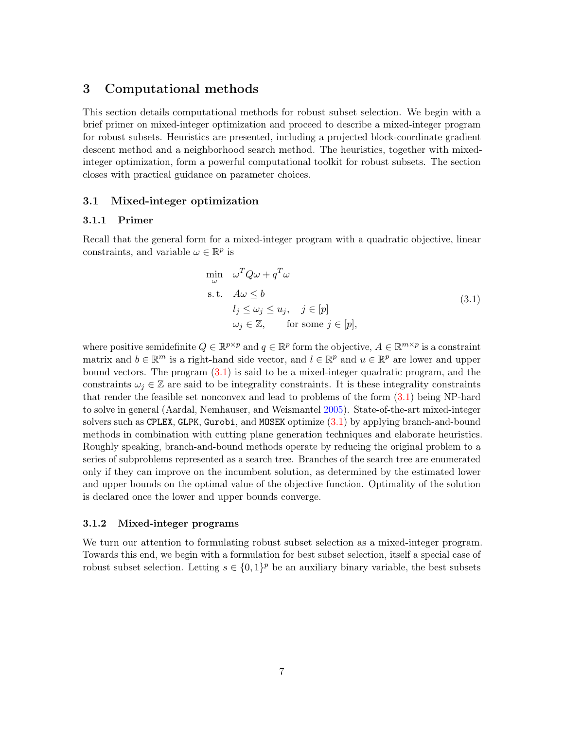## <span id="page-6-0"></span>3 Computational methods

This section details computational methods for robust subset selection. We begin with a brief primer on mixed-integer optimization and proceed to describe a mixed-integer program for robust subsets. Heuristics are presented, including a projected block-coordinate gradient descent method and a neighborhood search method. The heuristics, together with mixedinteger optimization, form a powerful computational toolkit for robust subsets. The section closes with practical guidance on parameter choices.

### 3.1 Mixed-integer optimization

### 3.1.1 Primer

Recall that the general form for a mixed-integer program with a quadratic objective, linear constraints, and variable  $\omega \in \mathbb{R}^p$  is

<span id="page-6-1"></span>
$$
\min_{\omega} \quad \omega^T Q \omega + q^T \omega
$$
\n
$$
\text{s.t.} \quad A\omega \le b
$$
\n
$$
l_j \le \omega_j \le u_j, \quad j \in [p]
$$
\n
$$
\omega_j \in \mathbb{Z}, \qquad \text{for some } j \in [p], \tag{3.1}
$$

where positive semidefinite  $Q \in \mathbb{R}^{p \times p}$  and  $q \in \mathbb{R}^p$  form the objective,  $A \in \mathbb{R}^{m \times p}$  is a constraint matrix and  $b \in \mathbb{R}^m$  is a right-hand side vector, and  $l \in \mathbb{R}^p$  and  $u \in \mathbb{R}^p$  are lower and upper bound vectors. The program [\(3.1\)](#page-6-1) is said to be a mixed-integer quadratic program, and the constraints  $\omega_i \in \mathbb{Z}$  are said to be integrality constraints. It is these integrality constraints that render the feasible set nonconvex and lead to problems of the form [\(3.1\)](#page-6-1) being NP-hard to solve in general (Aardal, Nemhauser, and Weismantel [2005\)](#page-25-11). State-of-the-art mixed-integer solvers such as CPLEX, GLPK, Gurobi, and MOSEK optimize [\(3.1\)](#page-6-1) by applying branch-and-bound methods in combination with cutting plane generation techniques and elaborate heuristics. Roughly speaking, branch-and-bound methods operate by reducing the original problem to a series of subproblems represented as a search tree. Branches of the search tree are enumerated only if they can improve on the incumbent solution, as determined by the estimated lower and upper bounds on the optimal value of the objective function. Optimality of the solution is declared once the lower and upper bounds converge.

#### 3.1.2 Mixed-integer programs

We turn our attention to formulating robust subset selection as a mixed-integer program. Towards this end, we begin with a formulation for best subset selection, itself a special case of robust subset selection. Letting  $s \in \{0,1\}^p$  be an auxiliary binary variable, the best subsets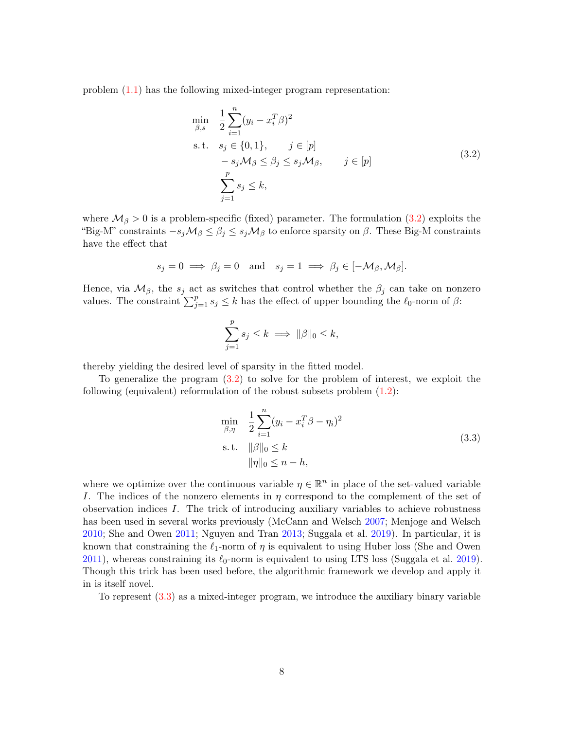problem  $(1.1)$  has the following mixed-integer program representation:

<span id="page-7-0"></span>
$$
\min_{\beta,s} \quad \frac{1}{2} \sum_{i=1}^{n} (y_i - x_i^T \beta)^2
$$
\n
$$
\text{s.t.} \quad s_j \in \{0, 1\}, \qquad j \in [p]
$$
\n
$$
-s_j \mathcal{M}_{\beta} \le \beta_j \le s_j \mathcal{M}_{\beta}, \qquad j \in [p]
$$
\n
$$
\sum_{j=1}^{p} s_j \le k,
$$
\n(3.2)

where  $\mathcal{M}_{\beta} > 0$  is a problem-specific (fixed) parameter. The formulation [\(3.2\)](#page-7-0) exploits the "Big-M" constraints  $-s_j\mathcal{M}_\beta \leq \beta_j \leq s_j\mathcal{M}_\beta$  to enforce sparsity on  $\beta$ . These Big-M constraints have the effect that

$$
s_j = 0 \implies \beta_j = 0 \text{ and } s_j = 1 \implies \beta_j \in [-\mathcal{M}_{\beta}, \mathcal{M}_{\beta}].
$$

Hence, via  $\mathcal{M}_{\beta}$ , the  $s_j$  act as switches that control whether the  $\beta_j$  can take on nonzero values. The constraint  $\sum_{j=1}^p s_j \leq k$  has the effect of upper bounding the  $\ell_0$ -norm of  $\beta$ :

$$
\sum_{j=1}^p s_j \le k \implies ||\beta||_0 \le k,
$$

thereby yielding the desired level of sparsity in the fitted model.

To generalize the program [\(3.2\)](#page-7-0) to solve for the problem of interest, we exploit the following (equivalent) reformulation of the robust subsets problem [\(1.2\)](#page-2-0):

<span id="page-7-1"></span>
$$
\min_{\beta,\eta} \quad \frac{1}{2} \sum_{i=1}^{n} (y_i - x_i^T \beta - \eta_i)^2
$$
\n
$$
\text{s.t.} \quad \|\beta\|_0 \le k
$$
\n
$$
\|\eta\|_0 \le n - h,
$$
\n(3.3)

where we optimize over the continuous variable  $\eta \in \mathbb{R}^n$  in place of the set-valued variable I. The indices of the nonzero elements in  $\eta$  correspond to the complement of the set of observation indices I. The trick of introducing auxiliary variables to achieve robustness has been used in several works previously (McCann and Welsch [2007;](#page-27-11) Menjoge and Welsch [2010;](#page-27-12) She and Owen [2011;](#page-28-15) Nguyen and Tran [2013;](#page-27-6) Suggala et al. [2019\)](#page-28-14). In particular, it is known that constraining the  $\ell_1$ -norm of  $\eta$  is equivalent to using Huber loss (She and Owen [2011\)](#page-28-15), whereas constraining its  $\ell_0$ -norm is equivalent to using LTS loss (Suggala et al. [2019\)](#page-28-14). Though this trick has been used before, the algorithmic framework we develop and apply it in is itself novel.

To represent [\(3.3\)](#page-7-1) as a mixed-integer program, we introduce the auxiliary binary variable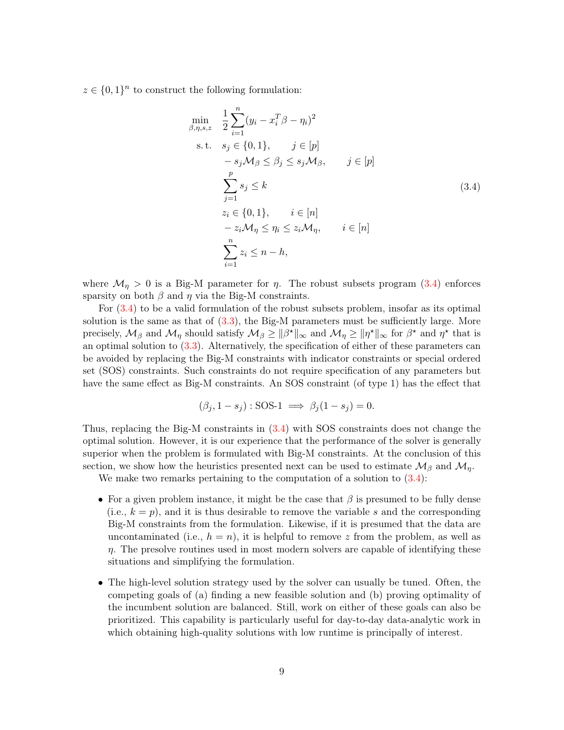$z \in \{0,1\}^n$  to construct the following formulation:

<span id="page-8-0"></span>
$$
\min_{\beta,\eta,s,z} \quad \frac{1}{2} \sum_{i=1}^{n} (y_i - x_i^T \beta - \eta_i)^2
$$
\n
$$
\text{s.t.} \quad s_j \in \{0, 1\}, \qquad j \in [p]
$$
\n
$$
- s_j \mathcal{M}_{\beta} \le \beta_j \le s_j \mathcal{M}_{\beta}, \qquad j \in [p]
$$
\n
$$
\sum_{j=1}^{p} s_j \le k
$$
\n
$$
z_i \in \{0, 1\}, \qquad i \in [n]
$$
\n
$$
- z_i \mathcal{M}_{\eta} \le \eta_i \le z_i \mathcal{M}_{\eta}, \qquad i \in [n]
$$
\n
$$
\sum_{i=1}^{n} z_i \le n - h,
$$
\n
$$
(3.4)
$$

where  $\mathcal{M}_{\eta} > 0$  is a Big-M parameter for  $\eta$ . The robust subsets program [\(3.4\)](#page-8-0) enforces sparsity on both  $\beta$  and  $\eta$  via the Big-M constraints.

For [\(3.4\)](#page-8-0) to be a valid formulation of the robust subsets problem, insofar as its optimal solution is the same as that of  $(3.3)$ , the Big-M parameters must be sufficiently large. More precisely,  $\mathcal{M}_{\beta}$  and  $\mathcal{M}_{\eta}$  should satisfy  $\mathcal{M}_{\beta} \geq ||\beta^{\star}||_{\infty}$  and  $\mathcal{M}_{\eta} \geq ||\eta^{\star}||_{\infty}$  for  $\beta^{\star}$  and  $\eta^{\star}$  that is an optimal solution to [\(3.3\)](#page-7-1). Alternatively, the specification of either of these parameters can be avoided by replacing the Big-M constraints with indicator constraints or special ordered set (SOS) constraints. Such constraints do not require specification of any parameters but have the same effect as Big-M constraints. An SOS constraint (of type 1) has the effect that

$$
(\beta_j, 1 - s_j) : SOS-1 \implies \beta_j(1 - s_j) = 0.
$$

Thus, replacing the Big-M constraints in [\(3.4\)](#page-8-0) with SOS constraints does not change the optimal solution. However, it is our experience that the performance of the solver is generally superior when the problem is formulated with Big-M constraints. At the conclusion of this section, we show how the heuristics presented next can be used to estimate  $\mathcal{M}_{\beta}$  and  $\mathcal{M}_{\eta}$ .

We make two remarks pertaining to the computation of a solution to  $(3.4)$ :

- For a given problem instance, it might be the case that  $\beta$  is presumed to be fully dense (i.e.,  $k = p$ ), and it is thus desirable to remove the variable s and the corresponding Big-M constraints from the formulation. Likewise, if it is presumed that the data are uncontaminated (i.e.,  $h = n$ ), it is helpful to remove z from the problem, as well as  $\eta$ . The presolve routines used in most modern solvers are capable of identifying these situations and simplifying the formulation.
- The high-level solution strategy used by the solver can usually be tuned. Often, the competing goals of (a) finding a new feasible solution and (b) proving optimality of the incumbent solution are balanced. Still, work on either of these goals can also be prioritized. This capability is particularly useful for day-to-day data-analytic work in which obtaining high-quality solutions with low runtime is principally of interest.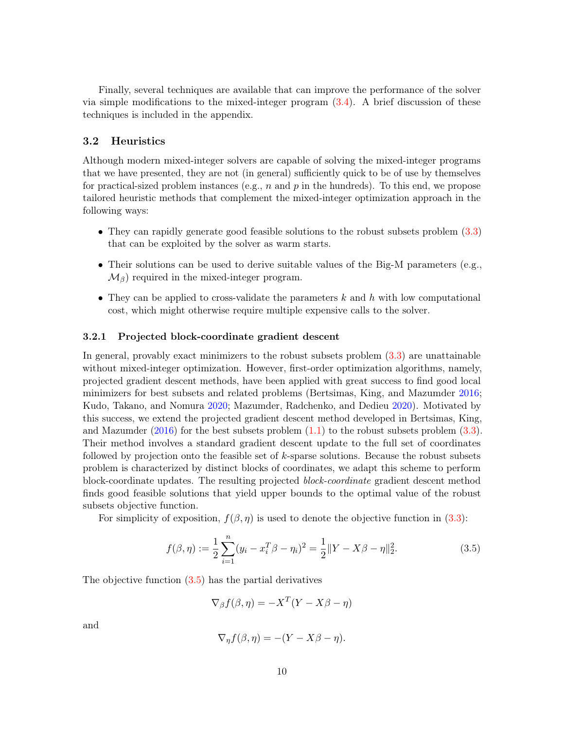Finally, several techniques are available that can improve the performance of the solver via simple modifications to the mixed-integer program  $(3.4)$ . A brief discussion of these techniques is included in the appendix.

### 3.2 Heuristics

Although modern mixed-integer solvers are capable of solving the mixed-integer programs that we have presented, they are not (in general) sufficiently quick to be of use by themselves for practical-sized problem instances (e.g.,  $n$  and  $p$  in the hundreds). To this end, we propose tailored heuristic methods that complement the mixed-integer optimization approach in the following ways:

- They can rapidly generate good feasible solutions to the robust subsets problem [\(3.3\)](#page-7-1) that can be exploited by the solver as warm starts.
- Their solutions can be used to derive suitable values of the Big-M parameters (e.g.,  $\mathcal{M}_{\beta}$ ) required in the mixed-integer program.
- They can be applied to cross-validate the parameters  $k$  and  $h$  with low computational cost, which might otherwise require multiple expensive calls to the solver.

### 3.2.1 Projected block-coordinate gradient descent

In general, provably exact minimizers to the robust subsets problem [\(3.3\)](#page-7-1) are unattainable without mixed-integer optimization. However, first-order optimization algorithms, namely, projected gradient descent methods, have been applied with great success to find good local minimizers for best subsets and related problems (Bertsimas, King, and Mazumder [2016;](#page-25-1) Kudo, Takano, and Nomura [2020;](#page-27-13) Mazumder, Radchenko, and Dedieu [2020\)](#page-27-3). Motivated by this success, we extend the projected gradient descent method developed in Bertsimas, King, and Mazumder  $(2016)$  for the best subsets problem  $(1.1)$  to the robust subsets problem  $(3.3)$ . Their method involves a standard gradient descent update to the full set of coordinates followed by projection onto the feasible set of  $k$ -sparse solutions. Because the robust subsets problem is characterized by distinct blocks of coordinates, we adapt this scheme to perform block-coordinate updates. The resulting projected block-coordinate gradient descent method finds good feasible solutions that yield upper bounds to the optimal value of the robust subsets objective function.

For simplicity of exposition,  $f(\beta, \eta)$  is used to denote the objective function in [\(3.3\)](#page-7-1):

$$
f(\beta, \eta) := \frac{1}{2} \sum_{i=1}^{n} (y_i - x_i^T \beta - \eta_i)^2 = \frac{1}{2} ||Y - X\beta - \eta||_2^2.
$$
 (3.5)

The objective function [\(3.5\)](#page-9-0) has the partial derivatives

<span id="page-9-0"></span>
$$
\nabla_{\beta} f(\beta, \eta) = -X^T (Y - X\beta - \eta)
$$

and

$$
\nabla_{\eta} f(\beta, \eta) = -(Y - X\beta - \eta).
$$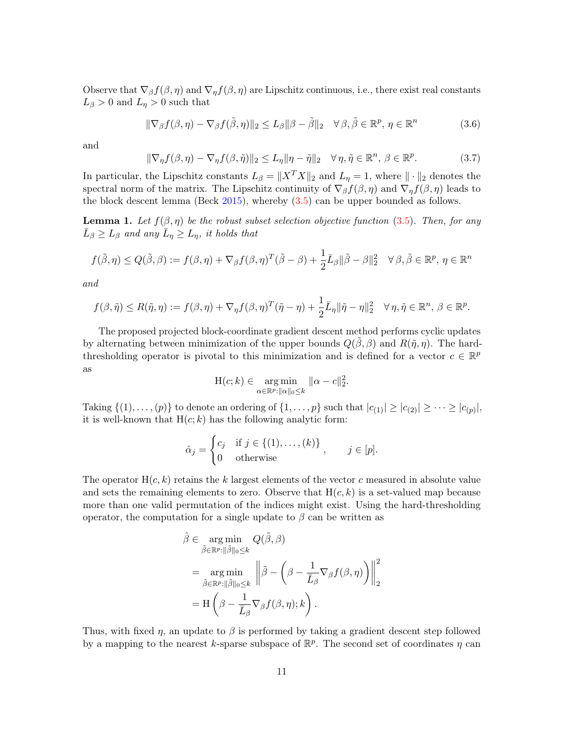Observe that  $\nabla_{\beta} f(\beta, \eta)$  and  $\nabla_{\eta} f(\beta, \eta)$  are Lipschitz continuous, i.e., there exist real constants  $L_{\beta} > 0$  and  $L_{\eta} > 0$  such that

$$
\|\nabla_{\beta} f(\beta, \eta) - \nabla_{\beta} f(\tilde{\beta}, \eta)\|_{2} \le L_{\beta} \|\beta - \tilde{\beta}\|_{2} \quad \forall \beta, \tilde{\beta} \in \mathbb{R}^{p}, \eta \in \mathbb{R}^{n}
$$
 (3.6)

and

$$
\|\nabla_{\eta} f(\beta, \eta) - \nabla_{\eta} f(\beta, \tilde{\eta})\|_{2} \le L_{\eta} \|\eta - \tilde{\eta}\|_{2} \quad \forall \eta, \tilde{\eta} \in \mathbb{R}^{n}, \ \beta \in \mathbb{R}^{p}.
$$
 (3.7)

In particular, the Lipschitz constants  $L_{\beta} = ||X^T X||_2$  and  $L_{\eta} = 1$ , where  $|| \cdot ||_2$  denotes the spectral norm of the matrix. The Lipschitz continuity of  $\nabla_\beta f(\beta, \eta)$  and  $\nabla_\eta f(\beta, \eta)$  leads to the block descent lemma (Beck [2015\)](#page-25-12), whereby [\(3.5\)](#page-9-0) can be upper bounded as follows.

<span id="page-10-0"></span>**Lemma 1.** Let  $f(\beta, \eta)$  be the robust subset selection objective function [\(3.5\)](#page-9-0). Then, for any  $\bar{L}_{\beta} \ge L_{\beta}$  and any  $\bar{L}_{\eta} \ge L_{\eta}$ , it holds that

$$
f(\tilde{\beta}, \eta) \le Q(\tilde{\beta}, \beta) := f(\beta, \eta) + \nabla_{\beta} f(\beta, \eta)^{T} (\tilde{\beta} - \beta) + \frac{1}{2} \bar{L}_{\beta} ||\tilde{\beta} - \beta||_{2}^{2} \quad \forall \beta, \tilde{\beta} \in \mathbb{R}^{p}, \eta \in \mathbb{R}^{n}
$$

and

$$
f(\beta,\tilde{\eta}) \le R(\tilde{\eta},\eta) := f(\beta,\eta) + \nabla_{\eta} f(\beta,\eta)^T (\tilde{\eta}-\eta) + \frac{1}{2}\bar{L}_{\eta} \|\tilde{\eta}-\eta\|_2^2 \quad \forall \eta,\tilde{\eta} \in \mathbb{R}^n, \ \beta \in \mathbb{R}^p.
$$

The proposed projected block-coordinate gradient descent method performs cyclic updates by alternating between minimization of the upper bounds  $Q(\beta, \beta)$  and  $R(\tilde{\eta}, \eta)$ . The hardthresholding operator is pivotal to this minimization and is defined for a vector  $c \in \mathbb{R}^p$ as

$$
\mathcal{H}(c; k) \in \underset{\alpha \in \mathbb{R}^p : ||\alpha||_0 \leq k}{\arg \min} ||\alpha - c||_2^2.
$$

Taking  $\{(1), \ldots, (p)\}\)$  to denote an ordering of  $\{1, \ldots, p\}$  such that  $|c_{(1)}| \geq |c_{(2)}| \geq \cdots \geq |c_{(p)}|$ , it is well-known that  $H(c; k)$  has the following analytic form:

$$
\hat{\alpha}_j = \begin{cases} c_j & \text{if } j \in \{ (1), \dots, (k) \} \\ 0 & \text{otherwise} \end{cases}, \quad j \in [p].
$$

The operator  $H(c, k)$  retains the k largest elements of the vector c measured in absolute value and sets the remaining elements to zero. Observe that  $H(c, k)$  is a set-valued map because more than one valid permutation of the indices might exist. Using the hard-thresholding operator, the computation for a single update to  $\beta$  can be written as

$$
\hat{\beta} \in \underset{\tilde{\beta} \in \mathbb{R}^p : ||\tilde{\beta}||_0 \leq k}{\arg \min} Q(\tilde{\beta}, \beta)
$$
\n
$$
= \underset{\tilde{\beta} \in \mathbb{R}^p : ||\tilde{\beta}||_0 \leq k}{\arg \min} \left\| \tilde{\beta} - \left( \beta - \frac{1}{\bar{L}_{\beta}} \nabla_{\beta} f(\beta, \eta) \right) \right\|_2^2
$$
\n
$$
= H\left( \beta - \frac{1}{\bar{L}_{\beta}} \nabla_{\beta} f(\beta, \eta); k \right).
$$

Thus, with fixed  $\eta$ , an update to  $\beta$  is performed by taking a gradient descent step followed by a mapping to the nearest k-sparse subspace of  $\mathbb{R}^p$ . The second set of coordinates  $\eta$  can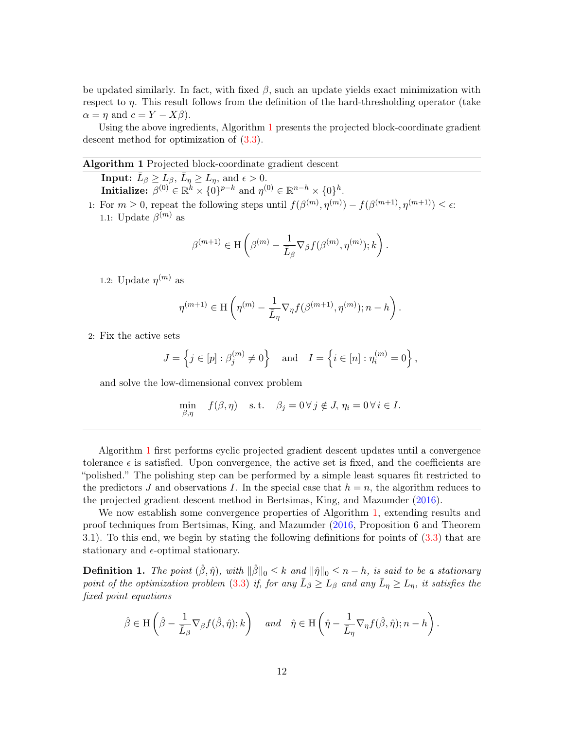be updated similarly. In fact, with fixed  $\beta$ , such an update yields exact minimization with respect to  $\eta$ . This result follows from the definition of the hard-thresholding operator (take  $\alpha = \eta$  and  $c = Y - X\beta$ ).

Using the above ingredients, Algorithm [1](#page-11-0) presents the projected block-coordinate gradient descent method for optimization of [\(3.3\)](#page-7-1).

#### <span id="page-11-0"></span>Algorithm 1 Projected block-coordinate gradient descent

**Input:**  $\bar{L}_{\beta} \ge L_{\beta}, \bar{L}_{\eta} \ge L_{\eta}, \text{ and } \epsilon > 0.$ Initialize:  $\beta^{(0)} \in \mathbb{R}^k \times \{0\}^{p-k}$  and  $\eta^{(0)} \in \mathbb{R}^{n-k} \times \{0\}^h$ .

1: For  $m \geq 0$ , repeat the following steps until  $f(\beta^{(m)}, \eta^{(m)}) - f(\beta^{(m+1)}, \eta^{(m+1)}) \leq \epsilon$ . 1.1: Update  $\beta^{(m)}$  as

$$
\beta^{(m+1)} \in \mathcal{H}\left(\beta^{(m)} - \frac{1}{\bar{L}_{\beta}} \nabla_{\beta} f(\beta^{(m)}, \eta^{(m)}); k\right).
$$

1.2: Update  $\eta^{(m)}$  as

$$
\eta^{(m+1)} \in \mathcal{H}\left(\eta^{(m)} - \frac{1}{\bar{L}_\eta}\nabla_\eta f(\beta^{(m+1)}, \eta^{(m)}); n-h\right).
$$

2: Fix the active sets

$$
J = \left\{ j \in [p] : \beta_j^{(m)} \neq 0 \right\} \quad \text{and} \quad I = \left\{ i \in [n] : \eta_i^{(m)} = 0 \right\},
$$

and solve the low-dimensional convex problem

$$
\min_{\beta,\eta} f(\beta,\eta) \quad \text{s.t.} \quad \beta_j = 0 \,\forall \, j \notin J, \, \eta_i = 0 \,\forall \, i \in I.
$$

Algorithm [1](#page-11-0) first performs cyclic projected gradient descent updates until a convergence tolerance  $\epsilon$  is satisfied. Upon convergence, the active set is fixed, and the coefficients are "polished." The polishing step can be performed by a simple least squares fit restricted to the predictors J and observations I. In the special case that  $h = n$ , the algorithm reduces to the projected gradient descent method in Bertsimas, King, and Mazumder [\(2016\)](#page-25-1).

We now establish some convergence properties of Algorithm [1,](#page-11-0) extending results and proof techniques from Bertsimas, King, and Mazumder [\(2016,](#page-25-1) Proposition 6 and Theorem 3.1). To this end, we begin by stating the following definitions for points of [\(3.3\)](#page-7-1) that are stationary and  $\epsilon$ -optimal stationary.

**Definition 1.** The point  $(\hat{\beta}, \hat{\eta})$ , with  $\|\hat{\beta}\|_0 \leq k$  and  $\|\hat{\eta}\|_0 \leq n - h$ , is said to be a stationary point of the optimization problem [\(3.3\)](#page-7-1) if, for any  $\bar{L}_{\beta} \ge L_{\beta}$  and any  $\bar{L}_{\eta} \ge L_{\eta}$ , it satisfies the fixed point equations

$$
\hat{\beta} \in \mathcal{H}\left(\hat{\beta} - \frac{1}{\bar{L}_{\beta}} \nabla_{\beta} f(\hat{\beta}, \hat{\eta}); k\right) \quad and \quad \hat{\eta} \in \mathcal{H}\left(\hat{\eta} - \frac{1}{\bar{L}_{\eta}} \nabla_{\eta} f(\hat{\beta}, \hat{\eta}); n - h\right).
$$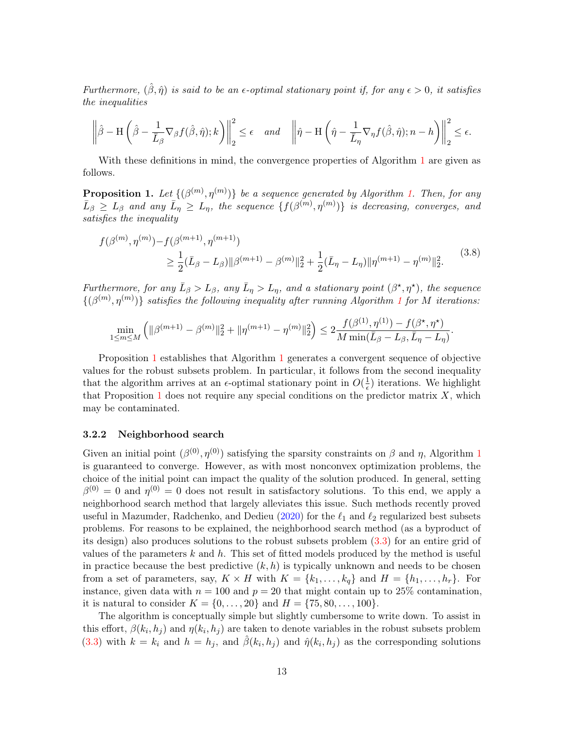Furthermore,  $(\hat{\beta}, \hat{\eta})$  is said to be an  $\epsilon$ -optimal stationary point if, for any  $\epsilon > 0$ , it satisfies the inequalities

$$
\left\|\hat{\beta} - \mathcal{H}\left(\hat{\beta} - \frac{1}{\bar{L}_{\beta}}\nabla_{\beta}f(\hat{\beta},\hat{\eta});k\right)\right\|_{2}^{2} \le \epsilon \quad and \quad \left\|\hat{\eta} - \mathcal{H}\left(\hat{\eta} - \frac{1}{\bar{L}_{\eta}}\nabla_{\eta}f(\hat{\beta},\hat{\eta});n - h\right)\right\|_{2}^{2} \le \epsilon.
$$

With these definitions in mind, the convergence properties of Algorithm [1](#page-11-0) are given as follows.

<span id="page-12-0"></span>**Proposition [1.](#page-11-0)** Let  $\{(\beta^{(m)}, \eta^{(m)})\}$  be a sequence generated by Algorithm 1. Then, for any  $\bar{L}_{\beta} \ge L_{\beta}$  and any  $\bar{L}_{\eta} \ge L_{\eta}$ , the sequence  $\{f(\beta^{(m)}, \eta^{(m)})\}$  is decreasing, converges, and satisfies the inequality

$$
f(\beta^{(m)}, \eta^{(m)}) - f(\beta^{(m+1)}, \eta^{(m+1)})
$$
  
\n
$$
\geq \frac{1}{2} (\bar{L}_{\beta} - L_{\beta}) ||\beta^{(m+1)} - \beta^{(m)}||_2^2 + \frac{1}{2} (\bar{L}_{\eta} - L_{\eta}) ||\eta^{(m+1)} - \eta^{(m)}||_2^2.
$$
\n(3.8)

Furthermore, for any  $\bar{L}_{\beta} > L_{\beta}$ , any  $\bar{L}_{\eta} > L_{\eta}$ , and a stationary point  $(\beta^*, \eta^*)$ , the sequence  $\{(\beta^{(m)}, \eta^{(m)})\}$  satisfies the following inequality after running Algorithm [1](#page-11-0) for M iterations:

$$
\min_{1\leq m\leq M}\left(\|\beta^{(m+1)}-\beta^{(m)}\|_2^2+\|\eta^{(m+1)}-\eta^{(m)}\|_2^2\right)\leq 2\frac{f(\beta^{(1)},\eta^{(1)})-f(\beta^\star,\eta^\star)}{M\min(\bar{L}_\beta-L_\beta,\bar{L}_\eta-L_\eta)}.
$$

Proposition [1](#page-12-0) establishes that Algorithm [1](#page-11-0) generates a convergent sequence of objective values for the robust subsets problem. In particular, it follows from the second inequality that the algorithm arrives at an  $\epsilon$ -optimal stationary point in  $O(\frac{1}{\epsilon})$  $\frac{1}{\epsilon}$ ) iterations. We highlight that Proposition [1](#page-12-0) does not require any special conditions on the predictor matrix  $X$ , which may be contaminated.

#### 3.2.2 Neighborhood search

Given an initial point  $(\beta^{(0)}, \eta^{(0)})$  satisfying the sparsity constraints on  $\beta$  and  $\eta$ , Algorithm [1](#page-11-0) is guaranteed to converge. However, as with most nonconvex optimization problems, the choice of the initial point can impact the quality of the solution produced. In general, setting  $\beta^{(0)} = 0$  and  $\eta^{(0)} = 0$  does not result in satisfactory solutions. To this end, we apply a neighborhood search method that largely alleviates this issue. Such methods recently proved useful in Mazumder, Radchenko, and Dedieu [\(2020\)](#page-27-3) for the  $\ell_1$  and  $\ell_2$  regularized best subsets problems. For reasons to be explained, the neighborhood search method (as a byproduct of its design) also produces solutions to the robust subsets problem [\(3.3\)](#page-7-1) for an entire grid of values of the parameters k and h. This set of fitted models produced by the method is useful in practice because the best predictive  $(k, h)$  is typically unknown and needs to be chosen from a set of parameters, say,  $K \times H$  with  $K = \{k_1, \ldots, k_q\}$  and  $H = \{h_1, \ldots, h_r\}$ . For instance, given data with  $n = 100$  and  $p = 20$  that might contain up to 25% contamination, it is natural to consider  $K = \{0, \ldots, 20\}$  and  $H = \{75, 80, \ldots, 100\}.$ 

The algorithm is conceptually simple but slightly cumbersome to write down. To assist in this effort,  $\beta(k_i, h_j)$  and  $\eta(k_i, h_j)$  are taken to denote variables in the robust subsets problem [\(3.3\)](#page-7-1) with  $k = k_i$  and  $h = h_j$ , and  $\hat{\beta}(k_i, h_j)$  and  $\hat{\eta}(k_i, h_j)$  as the corresponding solutions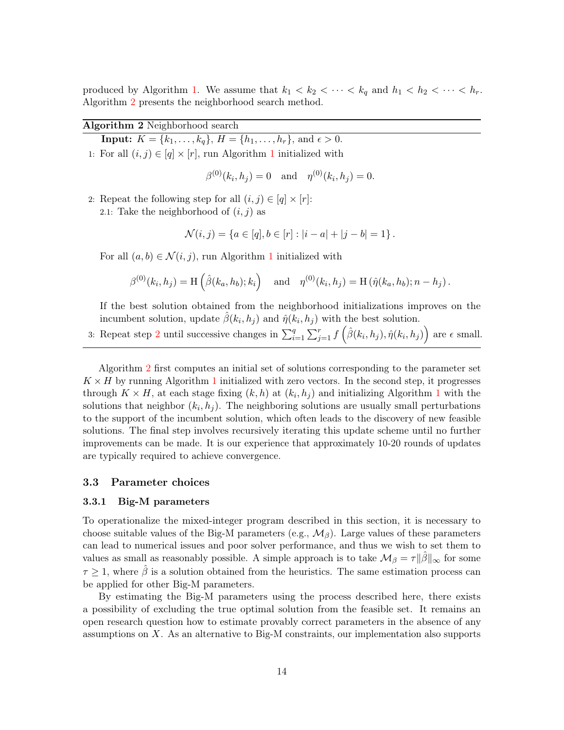produced by Algorithm [1.](#page-11-0) We assume that  $k_1 < k_2 < \cdots < k_q$  and  $h_1 < h_2 < \cdots < h_r$ . Algorithm [2](#page-13-0) presents the neighborhood search method.

### Algorithm 2 Neighborhood search

<span id="page-13-0"></span>**Input:**  $K = \{k_1, \ldots, k_q\}, H = \{h_1, \ldots, h_r\}, \text{and } \epsilon > 0.$ [1](#page-11-0): For all  $(i, j) \in [q] \times [r]$ , run Algorithm 1 initialized with

$$
\beta^{(0)}(k_i, h_j) = 0
$$
 and  $\eta^{(0)}(k_i, h_j) = 0$ .

2: Repeat the following step for all  $(i, j) \in [q] \times [r]$ : 2.1: Take the neighborhood of  $(i, j)$  as

$$
\mathcal{N}(i,j) = \{a \in [q], b \in [r] : |i - a| + |j - b| = 1\}.
$$

For all  $(a, b) \in \mathcal{N}(i, j)$ , run Algorithm [1](#page-11-0) initialized with

$$
\beta^{(0)}(k_i, h_j) = H(\hat{\beta}(k_a, h_b); k_i)
$$
 and  $\eta^{(0)}(k_i, h_j) = H(\hat{\eta}(k_a, h_b); n - h_j)$ .

If the best solution obtained from the neighborhood initializations improves on the incumbent solution, update  $\hat{\beta}(k_i, h_j)$  and  $\hat{\eta}(k_i, h_j)$  with the best solution.

3: Repeat step [2](#page-13-0) until successive changes in  $\sum_{i=1}^{q} \sum_{j=1}^{r} f(\hat{\beta}(k_i, h_j), \hat{\eta}(k_i, h_j))$  are  $\epsilon$  small.

Algorithm [2](#page-13-0) first computes an initial set of solutions corresponding to the parameter set  $K \times H$  by running Algorithm [1](#page-11-0) initialized with zero vectors. In the second step, it progresses through  $K \times H$ , at each stage fixing  $(k, h)$  at  $(k_i, h_j)$  and initializing Algorithm [1](#page-11-0) with the solutions that neighbor  $(k_i, h_j)$ . The neighboring solutions are usually small perturbations to the support of the incumbent solution, which often leads to the discovery of new feasible solutions. The final step involves recursively iterating this update scheme until no further improvements can be made. It is our experience that approximately 10-20 rounds of updates are typically required to achieve convergence.

### 3.3 Parameter choices

#### <span id="page-13-1"></span>3.3.1 Big-M parameters

To operationalize the mixed-integer program described in this section, it is necessary to choose suitable values of the Big-M parameters (e.g.,  $\mathcal{M}_{\beta}$ ). Large values of these parameters can lead to numerical issues and poor solver performance, and thus we wish to set them to values as small as reasonably possible. A simple approach is to take  $\mathcal{M}_{\beta} = \tau ||\beta||_{\infty}$  for some  $\tau \geq 1$ , where  $\hat{\beta}$  is a solution obtained from the heuristics. The same estimation process can be applied for other Big-M parameters.

By estimating the Big-M parameters using the process described here, there exists a possibility of excluding the true optimal solution from the feasible set. It remains an open research question how to estimate provably correct parameters in the absence of any assumptions on  $X$ . As an alternative to Big-M constraints, our implementation also supports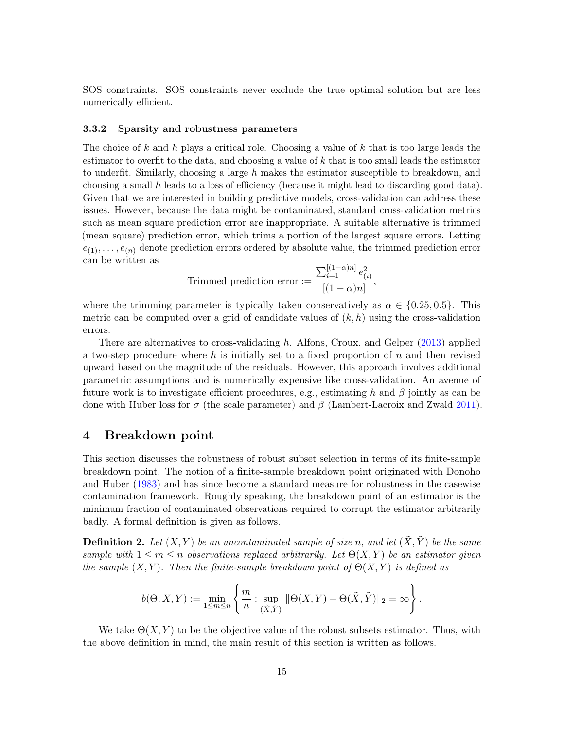SOS constraints. SOS constraints never exclude the true optimal solution but are less numerically efficient.

#### 3.3.2 Sparsity and robustness parameters

The choice of k and h plays a critical role. Choosing a value of k that is too large leads the estimator to overfit to the data, and choosing a value of  $k$  that is too small leads the estimator to underfit. Similarly, choosing a large h makes the estimator susceptible to breakdown, and choosing a small h leads to a loss of efficiency (because it might lead to discarding good data). Given that we are interested in building predictive models, cross-validation can address these issues. However, because the data might be contaminated, standard cross-validation metrics such as mean square prediction error are inappropriate. A suitable alternative is trimmed (mean square) prediction error, which trims a portion of the largest square errors. Letting  $e_{(1)}, \ldots, e_{(n)}$  denote prediction errors ordered by absolute value, the trimmed prediction error can be written as

Trimmed prediction error := 
$$
\frac{\sum_{i=1}^{[(1-\alpha)n]} e_{(i)}^2}{[(1-\alpha)n]},
$$

where the trimming parameter is typically taken conservatively as  $\alpha \in \{0.25, 0.5\}$ . This metric can be computed over a grid of candidate values of  $(k, h)$  using the cross-validation errors.

There are alternatives to cross-validating h. Alfons, Croux, and Gelper [\(2013\)](#page-25-5) applied a two-step procedure where h is initially set to a fixed proportion of  $n$  and then revised upward based on the magnitude of the residuals. However, this approach involves additional parametric assumptions and is numerically expensive like cross-validation. An avenue of future work is to investigate efficient procedures, e.g., estimating h and  $\beta$  jointly as can be done with Huber loss for  $\sigma$  (the scale parameter) and  $\beta$  (Lambert-Lacroix and Zwald [2011\)](#page-27-5).

## <span id="page-14-0"></span>4 Breakdown point

This section discusses the robustness of robust subset selection in terms of its finite-sample breakdown point. The notion of a finite-sample breakdown point originated with Donoho and Huber [\(1983\)](#page-26-16) and has since become a standard measure for robustness in the casewise contamination framework. Roughly speaking, the breakdown point of an estimator is the minimum fraction of contaminated observations required to corrupt the estimator arbitrarily badly. A formal definition is given as follows.

**Definition 2.** Let  $(X, Y)$  be an uncontaminated sample of size n, and let  $(\tilde{X}, \tilde{Y})$  be the same sample with  $1 \leq m \leq n$  observations replaced arbitrarily. Let  $\Theta(X, Y)$  be an estimator given the sample  $(X, Y)$ . Then the finite-sample breakdown point of  $\Theta(X, Y)$  is defined as

$$
b(\Theta;X,Y):=\min_{1\leq m\leq n}\left\{\frac{m}{n}:\sup_{(\tilde{X},\tilde{Y})}\|\Theta(X,Y)-\Theta(\tilde{X},\tilde{Y})\|_2=\infty\right\}.
$$

We take  $\Theta(X, Y)$  to be the objective value of the robust subsets estimator. Thus, with the above definition in mind, the main result of this section is written as follows.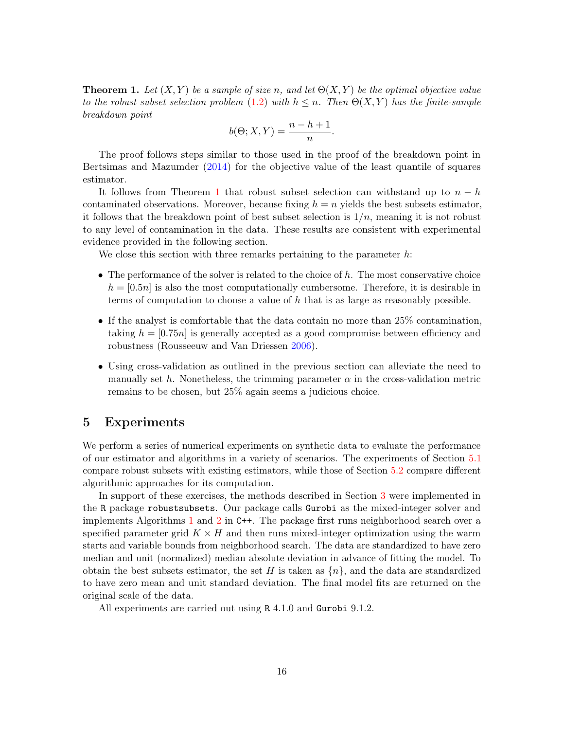<span id="page-15-1"></span>**Theorem 1.** Let  $(X, Y)$  be a sample of size n, and let  $\Theta(X, Y)$  be the optimal objective value to the robust subset selection problem [\(1.2\)](#page-2-0) with  $h \leq n$ . Then  $\Theta(X, Y)$  has the finite-sample breakdown point

$$
b(\Theta; X, Y) = \frac{n - h + 1}{n}.
$$

The proof follows steps similar to those used in the proof of the breakdown point in Bertsimas and Mazumder [\(2014\)](#page-25-10) for the objective value of the least quantile of squares estimator.

It follows from Theorem [1](#page-15-1) that robust subset selection can withstand up to  $n - h$ contaminated observations. Moreover, because fixing  $h = n$  yields the best subsets estimator, it follows that the breakdown point of best subset selection is  $1/n$ , meaning it is not robust to any level of contamination in the data. These results are consistent with experimental evidence provided in the following section.

We close this section with three remarks pertaining to the parameter  $h$ :

- The performance of the solver is related to the choice of  $h$ . The most conservative choice  $h = [0.5n]$  is also the most computationally cumbersome. Therefore, it is desirable in terms of computation to choose a value of  $h$  that is as large as reasonably possible.
- If the analyst is comfortable that the data contain no more than 25% contamination, taking  $h = [0.75n]$  is generally accepted as a good compromise between efficiency and robustness (Rousseeuw and Van Driessen [2006\)](#page-28-16).
- Using cross-validation as outlined in the previous section can alleviate the need to manually set h. Nonetheless, the trimming parameter  $\alpha$  in the cross-validation metric remains to be chosen, but 25% again seems a judicious choice.

## <span id="page-15-0"></span>5 Experiments

We perform a series of numerical experiments on synthetic data to evaluate the performance of our estimator and algorithms in a variety of scenarios. The experiments of Section [5.1](#page-16-0) compare robust subsets with existing estimators, while those of Section [5.2](#page-20-0) compare different algorithmic approaches for its computation.

In support of these exercises, the methods described in Section [3](#page-6-0) were implemented in the R package robustsubsets. Our package calls Gurobi as the mixed-integer solver and implements Algorithms [1](#page-11-0) and [2](#page-13-0) in C++. The package first runs neighborhood search over a specified parameter grid  $K \times H$  and then runs mixed-integer optimization using the warm starts and variable bounds from neighborhood search. The data are standardized to have zero median and unit (normalized) median absolute deviation in advance of fitting the model. To obtain the best subsets estimator, the set H is taken as  $\{n\}$ , and the data are standardized to have zero mean and unit standard deviation. The final model fits are returned on the original scale of the data.

All experiments are carried out using R 4.1.0 and Gurobi 9.1.2.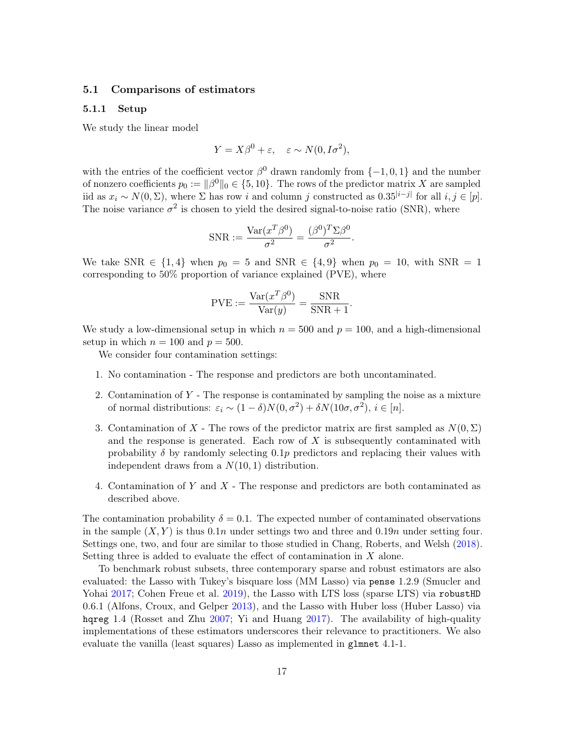### <span id="page-16-0"></span>5.1 Comparisons of estimators

### 5.1.1 Setup

We study the linear model

$$
Y = X\beta^{0} + \varepsilon, \quad \varepsilon \sim N(0, I\sigma^{2}),
$$

with the entries of the coefficient vector  $\beta^0$  drawn randomly from  $\{-1,0,1\}$  and the number of nonzero coefficients  $p_0 := ||\beta^0||_0 \in \{5, 10\}$ . The rows of the predictor matrix X are sampled iid as  $x_i \sim N(0, \Sigma)$ , where  $\Sigma$  has row i and column j constructed as  $0.35^{|i-j|}$  for all  $i, j \in [p]$ . The noise variance  $\sigma^2$  is chosen to yield the desired signal-to-noise ratio (SNR), where

$$
SNR := \frac{\text{Var}(x^T \beta^0)}{\sigma^2} = \frac{(\beta^0)^T \Sigma \beta^0}{\sigma^2}.
$$

We take SNR  $\in \{1,4\}$  when  $p_0 = 5$  and SNR  $\in \{4,9\}$  when  $p_0 = 10$ , with SNR = 1 corresponding to 50% proportion of variance explained (PVE), where

$$
PVE := \frac{\text{Var}(x^T \beta^0)}{\text{Var}(y)} = \frac{\text{SNR}}{\text{SNR} + 1}.
$$

We study a low-dimensional setup in which  $n = 500$  and  $p = 100$ , and a high-dimensional setup in which  $n = 100$  and  $p = 500$ .

We consider four contamination settings:

- 1. No contamination The response and predictors are both uncontaminated.
- 2. Contamination of  $Y$  The response is contaminated by sampling the noise as a mixture of normal distributions:  $\varepsilon_i \sim (1 - \delta)N(0, \sigma^2) + \delta N(10\sigma, \sigma^2), i \in [n].$
- 3. Contamination of X The rows of the predictor matrix are first sampled as  $N(0, \Sigma)$ and the response is generated. Each row of  $X$  is subsequently contaminated with probability  $\delta$  by randomly selecting 0.1p predictors and replacing their values with independent draws from a  $N(10, 1)$  distribution.
- 4. Contamination of Y and X The response and predictors are both contaminated as described above.

The contamination probability  $\delta = 0.1$ . The expected number of contaminated observations in the sample  $(X, Y)$  is thus 0.1n under settings two and three and 0.19n under setting four. Settings one, two, and four are similar to those studied in Chang, Roberts, and Welsh [\(2018\)](#page-26-4). Setting three is added to evaluate the effect of contamination in X alone.

To benchmark robust subsets, three contemporary sparse and robust estimators are also evaluated: the Lasso with Tukey's bisquare loss (MM Lasso) via pense 1.2.9 (Smucler and Yohai [2017;](#page-28-6) Cohen Freue et al. [2019\)](#page-26-3), the Lasso with LTS loss (sparse LTS) via robustHD 0.6.1 (Alfons, Croux, and Gelper [2013\)](#page-25-5), and the Lasso with Huber loss (Huber Lasso) via hqreg 1.4 (Rosset and Zhu [2007;](#page-28-7) Yi and Huang [2017\)](#page-28-17). The availability of high-quality implementations of these estimators underscores their relevance to practitioners. We also evaluate the vanilla (least squares) Lasso as implemented in glmnet 4.1-1.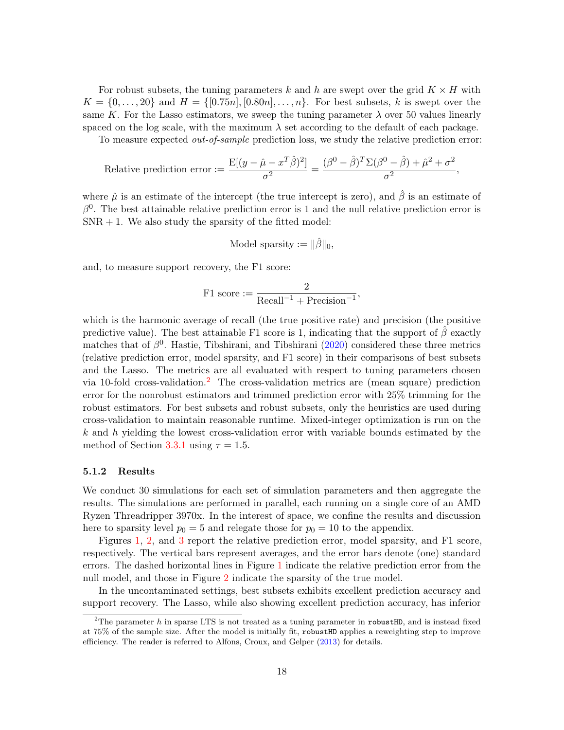For robust subsets, the tuning parameters k and h are swept over the grid  $K \times H$  with  $K = \{0, \ldots, 20\}$  and  $H = \{[0.75n], [0.80n], \ldots, n\}$ . For best subsets, k is swept over the same K. For the Lasso estimators, we sweep the tuning parameter  $\lambda$  over 50 values linearly spaced on the log scale, with the maximum  $\lambda$  set according to the default of each package.

To measure expected out-of-sample prediction loss, we study the relative prediction error:

Relative prediction error := 
$$
\frac{\mathrm{E}[(y - \hat{\mu} - x^T \hat{\beta})^2]}{\sigma^2} = \frac{(\beta^0 - \hat{\beta})^T \Sigma (\beta^0 - \hat{\beta}) + \hat{\mu}^2 + \sigma^2}{\sigma^2},
$$

where  $\hat{\mu}$  is an estimate of the intercept (the true intercept is zero), and  $\hat{\beta}$  is an estimate of  $\beta^0$ . The best attainable relative prediction error is 1 and the null relative prediction error is  $SNR + 1$ . We also study the sparsity of the fitted model:

Model sparsity := 
$$
\|\hat{\beta}\|_0
$$
,

and, to measure support recovery, the F1 score:

$$
F1 score := \frac{2}{Recall^{-1} + Precision^{-1}},
$$

which is the harmonic average of recall (the true positive rate) and precision (the positive predictive value). The best attainable F1 score is 1, indicating that the support of  $\beta$  exactly matches that of  $\beta^0$ . Hastie, Tibshirani, and Tibshirani [\(2020\)](#page-26-1) considered these three metrics (relative prediction error, model sparsity, and F1 score) in their comparisons of best subsets and the Lasso. The metrics are all evaluated with respect to tuning parameters chosen via 10-fold cross-validation.<sup>[2](#page-17-0)</sup> The cross-validation metrics are (mean square) prediction error for the nonrobust estimators and trimmed prediction error with 25% trimming for the robust estimators. For best subsets and robust subsets, only the heuristics are used during cross-validation to maintain reasonable runtime. Mixed-integer optimization is run on the  $k$  and h yielding the lowest cross-validation error with variable bounds estimated by the method of Section [3.3.1](#page-13-1) using  $\tau = 1.5$ .

#### 5.1.2 Results

We conduct 30 simulations for each set of simulation parameters and then aggregate the results. The simulations are performed in parallel, each running on a single core of an AMD Ryzen Threadripper 3970x. In the interest of space, we confine the results and discussion here to sparsity level  $p_0 = 5$  and relegate those for  $p_0 = 10$  to the appendix.

Figures [1,](#page-18-0) [2,](#page-19-0) and [3](#page-20-1) report the relative prediction error, model sparsity, and F1 score, respectively. The vertical bars represent averages, and the error bars denote (one) standard errors. The dashed horizontal lines in Figure [1](#page-18-0) indicate the relative prediction error from the null model, and those in Figure [2](#page-19-0) indicate the sparsity of the true model.

In the uncontaminated settings, best subsets exhibits excellent prediction accuracy and support recovery. The Lasso, while also showing excellent prediction accuracy, has inferior

<span id="page-17-0"></span><sup>&</sup>lt;sup>2</sup>The parameter h in sparse LTS is not treated as a tuning parameter in robustHD, and is instead fixed at 75% of the sample size. After the model is initially fit, robustHD applies a reweighting step to improve efficiency. The reader is referred to Alfons, Croux, and Gelper [\(2013\)](#page-25-5) for details.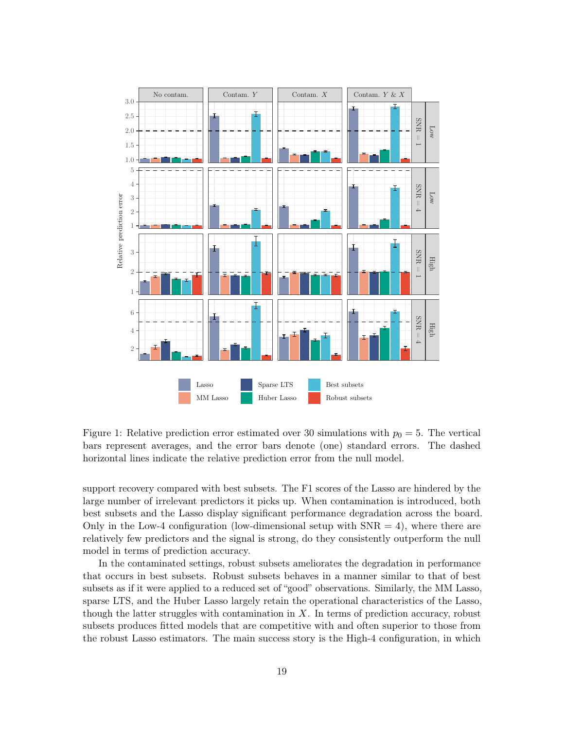

<span id="page-18-0"></span>Figure 1: Relative prediction error estimated over 30 simulations with  $p_0 = 5$ . The vertical bars represent averages, and the error bars denote (one) standard errors. The dashed horizontal lines indicate the relative prediction error from the null model.

support recovery compared with best subsets. The F1 scores of the Lasso are hindered by the large number of irrelevant predictors it picks up. When contamination is introduced, both best subsets and the Lasso display significant performance degradation across the board. Only in the Low-4 configuration (low-dimensional setup with  $SNR = 4$ ), where there are relatively few predictors and the signal is strong, do they consistently outperform the null model in terms of prediction accuracy.

In the contaminated settings, robust subsets ameliorates the degradation in performance that occurs in best subsets. Robust subsets behaves in a manner similar to that of best subsets as if it were applied to a reduced set of "good" observations. Similarly, the MM Lasso, sparse LTS, and the Huber Lasso largely retain the operational characteristics of the Lasso, though the latter struggles with contamination in  $X$ . In terms of prediction accuracy, robust subsets produces fitted models that are competitive with and often superior to those from the robust Lasso estimators. The main success story is the High-4 configuration, in which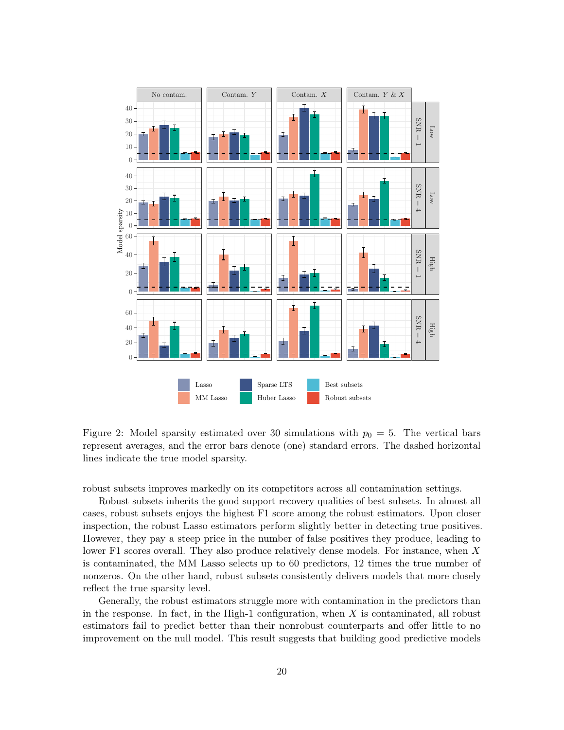

<span id="page-19-0"></span>Figure 2: Model sparsity estimated over 30 simulations with  $p_0 = 5$ . The vertical bars represent averages, and the error bars denote (one) standard errors. The dashed horizontal lines indicate the true model sparsity.

robust subsets improves markedly on its competitors across all contamination settings.

Robust subsets inherits the good support recovery qualities of best subsets. In almost all cases, robust subsets enjoys the highest F1 score among the robust estimators. Upon closer inspection, the robust Lasso estimators perform slightly better in detecting true positives. However, they pay a steep price in the number of false positives they produce, leading to lower F1 scores overall. They also produce relatively dense models. For instance, when X is contaminated, the MM Lasso selects up to 60 predictors, 12 times the true number of nonzeros. On the other hand, robust subsets consistently delivers models that more closely reflect the true sparsity level.

Generally, the robust estimators struggle more with contamination in the predictors than in the response. In fact, in the High-1 configuration, when  $X$  is contaminated, all robust estimators fail to predict better than their nonrobust counterparts and offer little to no improvement on the null model. This result suggests that building good predictive models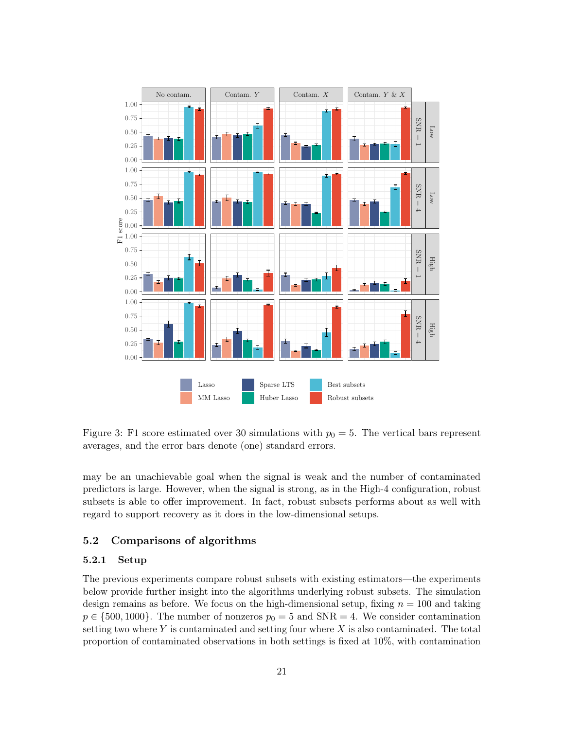

<span id="page-20-1"></span>Figure 3: F1 score estimated over 30 simulations with  $p_0 = 5$ . The vertical bars represent averages, and the error bars denote (one) standard errors.

may be an unachievable goal when the signal is weak and the number of contaminated predictors is large. However, when the signal is strong, as in the High-4 configuration, robust subsets is able to offer improvement. In fact, robust subsets performs about as well with regard to support recovery as it does in the low-dimensional setups.

### <span id="page-20-0"></span>5.2 Comparisons of algorithms

### 5.2.1 Setup

The previous experiments compare robust subsets with existing estimators—the experiments below provide further insight into the algorithms underlying robust subsets. The simulation design remains as before. We focus on the high-dimensional setup, fixing  $n = 100$  and taking  $p \in \{500, 1000\}$ . The number of nonzeros  $p_0 = 5$  and SNR = 4. We consider contamination setting two where Y is contaminated and setting four where X is also contaminated. The total proportion of contaminated observations in both settings is fixed at 10%, with contamination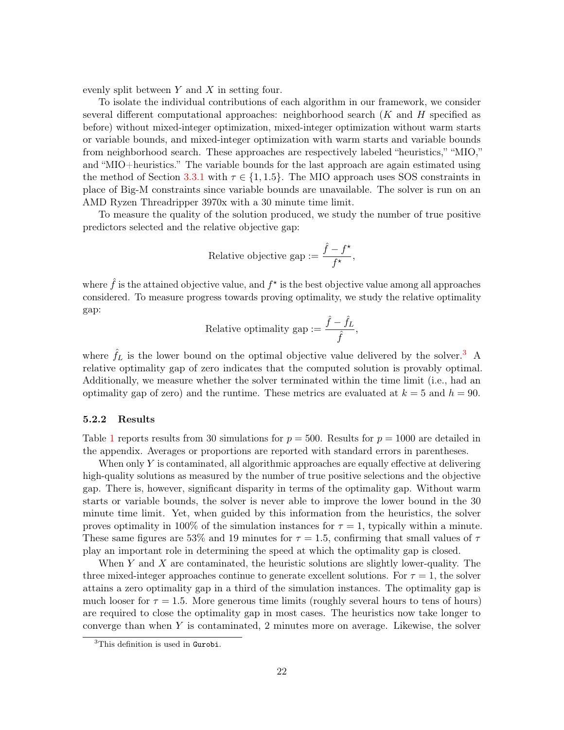evenly split between  $Y$  and  $X$  in setting four.

To isolate the individual contributions of each algorithm in our framework, we consider several different computational approaches: neighborhood search  $(K \text{ and } H \text{ specified as})$ before) without mixed-integer optimization, mixed-integer optimization without warm starts or variable bounds, and mixed-integer optimization with warm starts and variable bounds from neighborhood search. These approaches are respectively labeled "heuristics," "MIO," and "MIO+heuristics." The variable bounds for the last approach are again estimated using the method of Section [3.3.1](#page-13-1) with  $\tau \in \{1, 1.5\}$ . The MIO approach uses SOS constraints in place of Big-M constraints since variable bounds are unavailable. The solver is run on an AMD Ryzen Threadripper 3970x with a 30 minute time limit.

To measure the quality of the solution produced, we study the number of true positive predictors selected and the relative objective gap:

Relative objective gap := 
$$
\frac{\hat{f} - f^{\star}}{f^{\star}},
$$

where  $\hat{f}$  is the attained objective value, and  $f^{\star}$  is the best objective value among all approaches considered. To measure progress towards proving optimality, we study the relative optimality gap:

Relative optimality gap := 
$$
\frac{\hat{f} - \hat{f}_L}{\hat{f}},
$$

where  $\hat{f}_L$  is the lower bound on the optimal objective value delivered by the solver.<sup>[3](#page-21-0)</sup> A relative optimality gap of zero indicates that the computed solution is provably optimal. Additionally, we measure whether the solver terminated within the time limit (i.e., had an optimality gap of zero) and the runtime. These metrics are evaluated at  $k = 5$  and  $h = 90$ .

### 5.2.2 Results

Table [1](#page-22-1) reports results from 30 simulations for  $p = 500$ . Results for  $p = 1000$  are detailed in the appendix. Averages or proportions are reported with standard errors in parentheses.

When only  $Y$  is contaminated, all algorithmic approaches are equally effective at delivering high-quality solutions as measured by the number of true positive selections and the objective gap. There is, however, significant disparity in terms of the optimality gap. Without warm starts or variable bounds, the solver is never able to improve the lower bound in the 30 minute time limit. Yet, when guided by this information from the heuristics, the solver proves optimality in 100% of the simulation instances for  $\tau = 1$ , typically within a minute. These same figures are 53% and 19 minutes for  $\tau = 1.5$ , confirming that small values of  $\tau$ play an important role in determining the speed at which the optimality gap is closed.

When Y and X are contaminated, the heuristic solutions are slightly lower-quality. The three mixed-integer approaches continue to generate excellent solutions. For  $\tau = 1$ , the solver attains a zero optimality gap in a third of the simulation instances. The optimality gap is much looser for  $\tau = 1.5$ . More generous time limits (roughly several hours to tens of hours) are required to close the optimality gap in most cases. The heuristics now take longer to converge than when Y is contaminated, 2 minutes more on average. Likewise, the solver

<span id="page-21-0"></span><sup>&</sup>lt;sup>3</sup>This definition is used in Gurobi.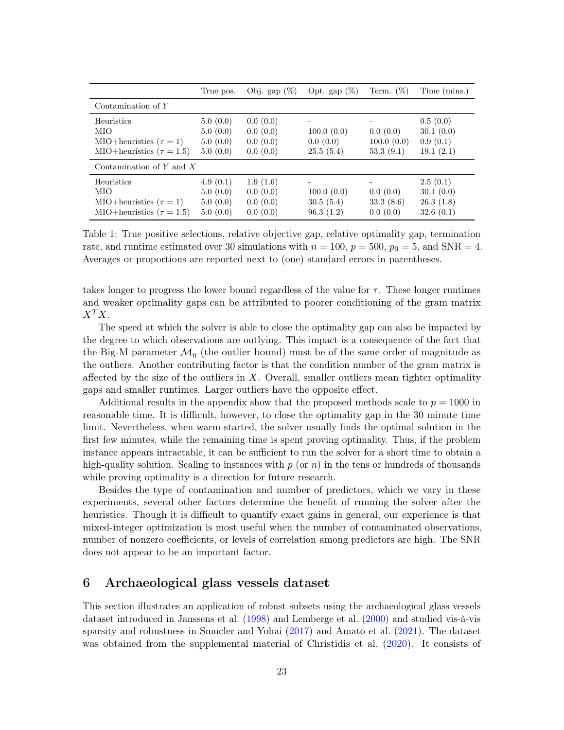|                                                                                       | True pos.                                    | Obj. gap $(\%)$                              | Opt. gap $(\%)$                      | Term. $(\%)$                         | Time (mins.)                                       |  |  |  |
|---------------------------------------------------------------------------------------|----------------------------------------------|----------------------------------------------|--------------------------------------|--------------------------------------|----------------------------------------------------|--|--|--|
| Contamination of $Y$                                                                  |                                              |                                              |                                      |                                      |                                                    |  |  |  |
| Heuristics<br>MIO<br>MIO+heuristics $(\tau = 1)$<br>MIO+heuristics ( $\tau = 1.5$ )   | 5.0(0.0)<br>5.0(0.0)<br>5.0(0.0)<br>5.0(0.0) | 0.0(0.0)<br>0.0(0.0)<br>0.0(0.0)<br>0.0(0.0) | 100.0(0.0)<br>0.0(0.0)<br>25.5(5.4)  | 0.0(0.0)<br>100.0(0.0)<br>53.3(9.1)  | 0.5(0.0)<br>30.1(0.0)<br>0.9(0.1)<br>19.1(2.1)     |  |  |  |
| Contamination of Y and $X$                                                            |                                              |                                              |                                      |                                      |                                                    |  |  |  |
| Heuristics<br>MIO<br>MIO+heuristics ( $\tau = 1$ )<br>MIO+heuristics ( $\tau = 1.5$ ) | 4.9(0.1)<br>5.0(0.0)<br>5.0(0.0)<br>5.0(0.0) | 1.9(1.6)<br>0.0(0.0)<br>0.0(0.0)<br>0.0(0.0) | 100.0(0.0)<br>30.5(5.4)<br>96.3(1.2) | 0.0(0.0)<br>33.3 $(8.6)$<br>0.0(0.0) | 2.5(0.1)<br>30.1(0.0)<br>26.3(1.8)<br>32.6 $(0.1)$ |  |  |  |

<span id="page-22-1"></span>Table 1: True positive selections, relative objective gap, relative optimality gap, termination rate, and runtime estimated over 30 simulations with  $n = 100$ ,  $p = 500$ ,  $p_0 = 5$ , and SNR = 4. Averages or proportions are reported next to (one) standard errors in parentheses.

takes longer to progress the lower bound regardless of the value for  $\tau$ . These longer runtimes and weaker optimality gaps can be attributed to poorer conditioning of the gram matrix  $X^TX$ .

The speed at which the solver is able to close the optimality gap can also be impacted by the degree to which observations are outlying. This impact is a consequence of the fact that the Big-M parameter  $\mathcal{M}_{\eta}$  (the outlier bound) must be of the same order of magnitude as the outliers. Another contributing factor is that the condition number of the gram matrix is affected by the size of the outliers in  $X$ . Overall, smaller outliers mean tighter optimality gaps and smaller runtimes. Larger outliers have the opposite effect.

Additional results in the appendix show that the proposed methods scale to  $p = 1000$  in reasonable time. It is difficult, however, to close the optimality gap in the 30 minute time limit. Nevertheless, when warm-started, the solver usually finds the optimal solution in the first few minutes, while the remaining time is spent proving optimality. Thus, if the problem instance appears intractable, it can be sufficient to run the solver for a short time to obtain a high-quality solution. Scaling to instances with  $p$  (or  $n)$ ) in the tens or hundreds of thousands while proving optimality is a direction for future research.

Besides the type of contamination and number of predictors, which we vary in these experiments, several other factors determine the benefit of running the solver after the heuristics. Though it is difficult to quantify exact gains in general, our experience is that mixed-integer optimization is most useful when the number of contaminated observations, number of nonzero coefficients, or levels of correlation among predictors are high. The SNR does not appear to be an important factor.

## <span id="page-22-0"></span>6 Archaeological glass vessels dataset

This section illustrates an application of robust subsets using the archaeological glass vessels dataset introduced in Janssens et al. [\(1998\)](#page-26-17) and Lemberge et al. [\(2000\)](#page-27-14) and studied vis-à-vis sparsity and robustness in Smucler and Yohai [\(2017\)](#page-28-6) and Amato et al. [\(2021\)](#page-25-6). The dataset was obtained from the supplemental material of Christidis et al. [\(2020\)](#page-26-18). It consists of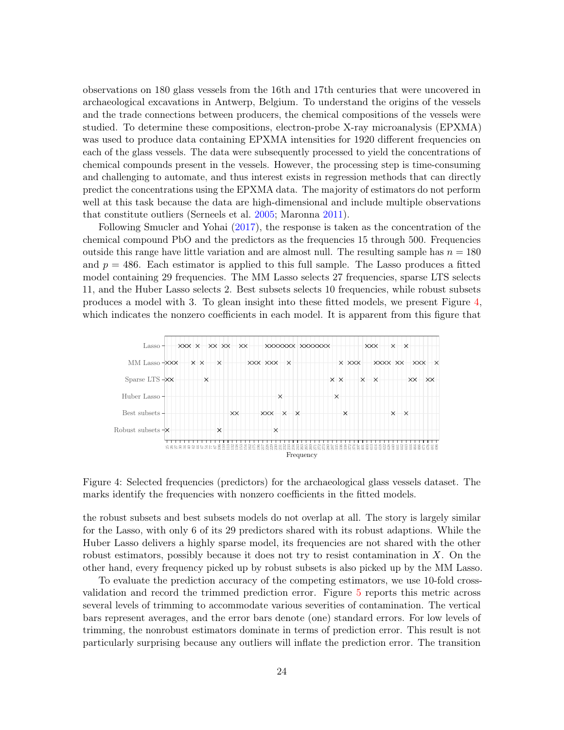observations on 180 glass vessels from the 16th and 17th centuries that were uncovered in archaeological excavations in Antwerp, Belgium. To understand the origins of the vessels and the trade connections between producers, the chemical compositions of the vessels were studied. To determine these compositions, electron-probe X-ray microanalysis (EPXMA) was used to produce data containing EPXMA intensities for 1920 different frequencies on each of the glass vessels. The data were subsequently processed to yield the concentrations of chemical compounds present in the vessels. However, the processing step is time-consuming and challenging to automate, and thus interest exists in regression methods that can directly predict the concentrations using the EPXMA data. The majority of estimators do not perform well at this task because the data are high-dimensional and include multiple observations that constitute outliers (Serneels et al. [2005;](#page-28-18) Maronna [2011\)](#page-27-15).

Following Smucler and Yohai [\(2017\)](#page-28-6), the response is taken as the concentration of the chemical compound PbO and the predictors as the frequencies 15 through 500. Frequencies outside this range have little variation and are almost null. The resulting sample has  $n = 180$ and  $p = 486$ . Each estimator is applied to this full sample. The Lasso produces a fitted model containing 29 frequencies. The MM Lasso selects 27 frequencies, sparse LTS selects 11, and the Huber Lasso selects 2. Best subsets selects 10 frequencies, while robust subsets produces a model with 3. To glean insight into these fitted models, we present Figure [4,](#page-23-0) which indicates the nonzero coefficients in each model. It is apparent from this figure that



<span id="page-23-0"></span>Figure 4: Selected frequencies (predictors) for the archaeological glass vessels dataset. The marks identify the frequencies with nonzero coefficients in the fitted models.

the robust subsets and best subsets models do not overlap at all. The story is largely similar for the Lasso, with only 6 of its 29 predictors shared with its robust adaptions. While the Huber Lasso delivers a highly sparse model, its frequencies are not shared with the other robust estimators, possibly because it does not try to resist contamination in  $X$ . On the other hand, every frequency picked up by robust subsets is also picked up by the MM Lasso.

To evaluate the prediction accuracy of the competing estimators, we use 10-fold crossvalidation and record the trimmed prediction error. Figure [5](#page-24-1) reports this metric across several levels of trimming to accommodate various severities of contamination. The vertical bars represent averages, and the error bars denote (one) standard errors. For low levels of trimming, the nonrobust estimators dominate in terms of prediction error. This result is not particularly surprising because any outliers will inflate the prediction error. The transition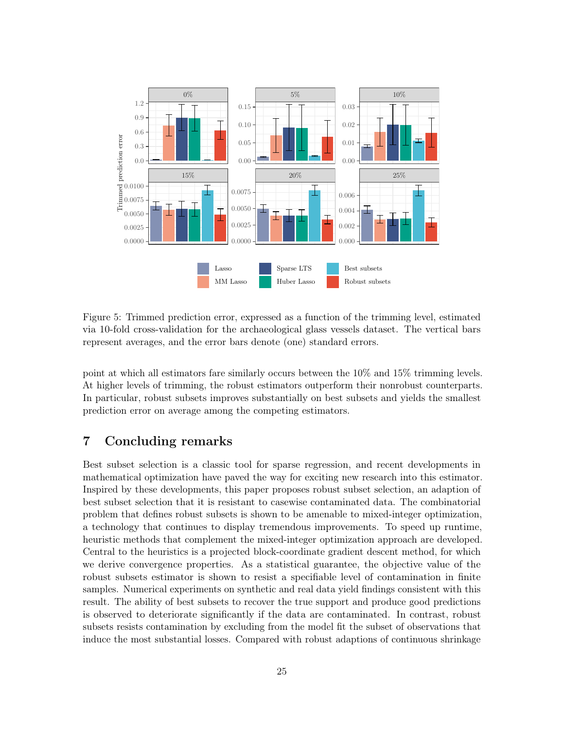

<span id="page-24-1"></span>Figure 5: Trimmed prediction error, expressed as a function of the trimming level, estimated via 10-fold cross-validation for the archaeological glass vessels dataset. The vertical bars represent averages, and the error bars denote (one) standard errors.

point at which all estimators fare similarly occurs between the 10% and 15% trimming levels. At higher levels of trimming, the robust estimators outperform their nonrobust counterparts. In particular, robust subsets improves substantially on best subsets and yields the smallest prediction error on average among the competing estimators.

# <span id="page-24-0"></span>7 Concluding remarks

Best subset selection is a classic tool for sparse regression, and recent developments in mathematical optimization have paved the way for exciting new research into this estimator. Inspired by these developments, this paper proposes robust subset selection, an adaption of best subset selection that it is resistant to casewise contaminated data. The combinatorial problem that defines robust subsets is shown to be amenable to mixed-integer optimization, a technology that continues to display tremendous improvements. To speed up runtime, heuristic methods that complement the mixed-integer optimization approach are developed. Central to the heuristics is a projected block-coordinate gradient descent method, for which we derive convergence properties. As a statistical guarantee, the objective value of the robust subsets estimator is shown to resist a specifiable level of contamination in finite samples. Numerical experiments on synthetic and real data yield findings consistent with this result. The ability of best subsets to recover the true support and produce good predictions is observed to deteriorate significantly if the data are contaminated. In contrast, robust subsets resists contamination by excluding from the model fit the subset of observations that induce the most substantial losses. Compared with robust adaptions of continuous shrinkage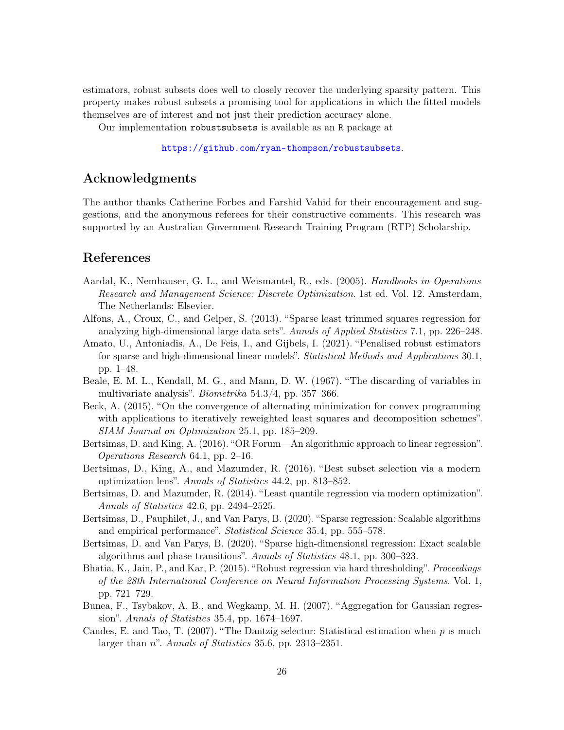estimators, robust subsets does well to closely recover the underlying sparsity pattern. This property makes robust subsets a promising tool for applications in which the fitted models themselves are of interest and not just their prediction accuracy alone.

Our implementation robustsubsets is available as an R package at

<https://github.com/ryan-thompson/robustsubsets>.

# Acknowledgments

The author thanks Catherine Forbes and Farshid Vahid for their encouragement and suggestions, and the anonymous referees for their constructive comments. This research was supported by an Australian Government Research Training Program (RTP) Scholarship.

## References

- <span id="page-25-11"></span>Aardal, K., Nemhauser, G. L., and Weismantel, R., eds. (2005). *Handbooks in Operations* Research and Management Science: Discrete Optimization. 1st ed. Vol. 12. Amsterdam, The Netherlands: Elsevier.
- <span id="page-25-5"></span>Alfons, A., Croux, C., and Gelper, S. (2013). "Sparse least trimmed squares regression for analyzing high-dimensional large data sets". Annals of Applied Statistics 7.1, pp. 226–248.
- <span id="page-25-6"></span>Amato, U., Antoniadis, A., De Feis, I., and Gijbels, I. (2021). "Penalised robust estimators for sparse and high-dimensional linear models". Statistical Methods and Applications 30.1, pp. 1–48.
- <span id="page-25-7"></span>Beale, E. M. L., Kendall, M. G., and Mann, D. W. (1967). "The discarding of variables in multivariate analysis". Biometrika 54.3/4, pp. 357–366.
- <span id="page-25-12"></span>Beck, A. (2015). "On the convergence of alternating minimization for convex programming with applications to iteratively reweighted least squares and decomposition schemes". SIAM Journal on Optimization 25.1, pp. 185–209.
- <span id="page-25-2"></span>Bertsimas, D. and King, A. (2016). "OR Forum—An algorithmic approach to linear regression". Operations Research 64.1, pp. 2–16.
- <span id="page-25-1"></span>Bertsimas, D., King, A., and Mazumder, R. (2016). "Best subset selection via a modern optimization lens". Annals of Statistics 44.2, pp. 813–852.
- <span id="page-25-10"></span>Bertsimas, D. and Mazumder, R. (2014). "Least quantile regression via modern optimization". Annals of Statistics 42.6, pp. 2494–2525.
- <span id="page-25-3"></span>Bertsimas, D., Pauphilet, J., and Van Parys, B. (2020). "Sparse regression: Scalable algorithms and empirical performance". Statistical Science 35.4, pp. 555–578.
- <span id="page-25-4"></span>Bertsimas, D. and Van Parys, B. (2020). "Sparse high-dimensional regression: Exact scalable algorithms and phase transitions". Annals of Statistics 48.1, pp. 300–323.
- <span id="page-25-9"></span>Bhatia, K., Jain, P., and Kar, P. (2015). "Robust regression via hard thresholding". Proceedings of the 28th International Conference on Neural Information Processing Systems. Vol. 1, pp. 721–729.
- <span id="page-25-0"></span>Bunea, F., Tsybakov, A. B., and Wegkamp, M. H. (2007). "Aggregation for Gaussian regression". Annals of Statistics 35.4, pp. 1674–1697.
- <span id="page-25-8"></span>Candes, E. and Tao, T.  $(2007)$ . "The Dantzig selector: Statistical estimation when p is much larger than n". Annals of Statistics 35.6, pp. 2313–2351.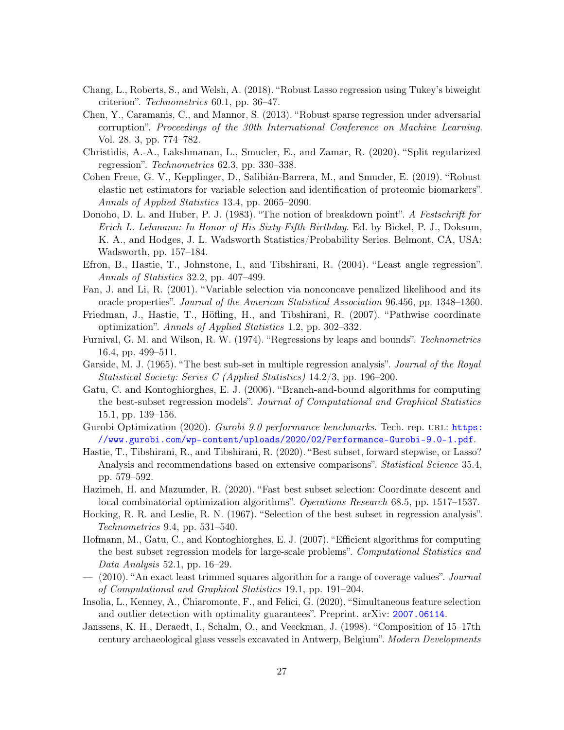- <span id="page-26-4"></span>Chang, L., Roberts, S., and Welsh, A. (2018). "Robust Lasso regression using Tukey's biweight criterion". Technometrics 60.1, pp. 36–47.
- <span id="page-26-13"></span>Chen, Y., Caramanis, C., and Mannor, S. (2013). "Robust sparse regression under adversarial corruption". Proceedings of the 30th International Conference on Machine Learning. Vol. 28. 3, pp. 774–782.
- <span id="page-26-18"></span>Christidis, A.-A., Lakshmanan, L., Smucler, E., and Zamar, R. (2020). "Split regularized regression". Technometrics 62.3, pp. 330–338.
- <span id="page-26-3"></span>Cohen Freue, G. V., Kepplinger, D., Salibián-Barrera, M., and Smucler, E. (2019). "Robust elastic net estimators for variable selection and identification of proteomic biomarkers". Annals of Applied Statistics 13.4, pp. 2065–2090.
- <span id="page-26-16"></span>Donoho, D. L. and Huber, P. J. (1983). "The notion of breakdown point". A Festschrift for Erich L. Lehmann: In Honor of His Sixty-Fifth Birthday. Ed. by Bickel, P. J., Doksum, K. A., and Hodges, J. L. Wadsworth Statistics/Probability Series. Belmont, CA, USA: Wadsworth, pp. 157–184.
- <span id="page-26-10"></span>Efron, B., Hastie, T., Johnstone, I., and Tibshirani, R. (2004). "Least angle regression". Annals of Statistics 32.2, pp. 407–499.
- <span id="page-26-12"></span>Fan, J. and Li, R. (2001). "Variable selection via nonconcave penalized likelihood and its oracle properties". Journal of the American Statistical Association 96.456, pp. 1348–1360.
- <span id="page-26-11"></span>Friedman, J., Hastie, T., Höfling, H., and Tibshirani, R. (2007). "Pathwise coordinate optimization". Annals of Applied Statistics 1.2, pp. 302–332.
- <span id="page-26-7"></span>Furnival, G. M. and Wilson, R. W. (1974). "Regressions by leaps and bounds". Technometrics 16.4, pp. 499–511.
- <span id="page-26-5"></span>Garside, M. J. (1965). "The best sub-set in multiple regression analysis". Journal of the Royal Statistical Society: Series C (Applied Statistics) 14.2/3, pp. 196–200.
- <span id="page-26-8"></span>Gatu, C. and Kontoghiorghes, E. J. (2006). "Branch-and-bound algorithms for computing the best-subset regression models". Journal of Computational and Graphical Statistics 15.1, pp. 139–156.
- <span id="page-26-0"></span>Gurobi Optimization (2020). Gurobi 9.0 performance benchmarks. Tech. rep. URL: [https:](https://www.gurobi.com/wp-content/uploads/2020/02/Performance-Gurobi-9.0-1.pdf) [//www.gurobi.com/wp-content/uploads/2020/02/Performance-Gurobi-9.0-1.pdf](https://www.gurobi.com/wp-content/uploads/2020/02/Performance-Gurobi-9.0-1.pdf).
- <span id="page-26-1"></span>Hastie, T., Tibshirani, R., and Tibshirani, R. (2020). "Best subset, forward stepwise, or Lasso? Analysis and recommendations based on extensive comparisons". Statistical Science 35.4, pp. 579–592.
- <span id="page-26-2"></span>Hazimeh, H. and Mazumder, R. (2020). "Fast best subset selection: Coordinate descent and local combinatorial optimization algorithms". Operations Research 68.5, pp. 1517–1537.
- <span id="page-26-6"></span>Hocking, R. R. and Leslie, R. N. (1967). "Selection of the best subset in regression analysis". Technometrics 9.4, pp. 531–540.
- <span id="page-26-9"></span>Hofmann, M., Gatu, C., and Kontoghiorghes, E. J. (2007). "Efficient algorithms for computing the best subset regression models for large-scale problems". Computational Statistics and Data Analysis 52.1, pp. 16–29.
- <span id="page-26-15"></span> $-$  (2010). "An exact least trimmed squares algorithm for a range of coverage values". Journal of Computational and Graphical Statistics 19.1, pp. 191–204.
- <span id="page-26-14"></span>Insolia, L., Kenney, A., Chiaromonte, F., and Felici, G. (2020). "Simultaneous feature selection and outlier detection with optimality guarantees". Preprint. arXiv: [2007.06114](https://arxiv.org/abs/2007.06114).
- <span id="page-26-17"></span>Janssens, K. H., Deraedt, I., Schalm, O., and Veeckman, J. (1998). "Composition of 15–17th century archaeological glass vessels excavated in Antwerp, Belgium". Modern Developments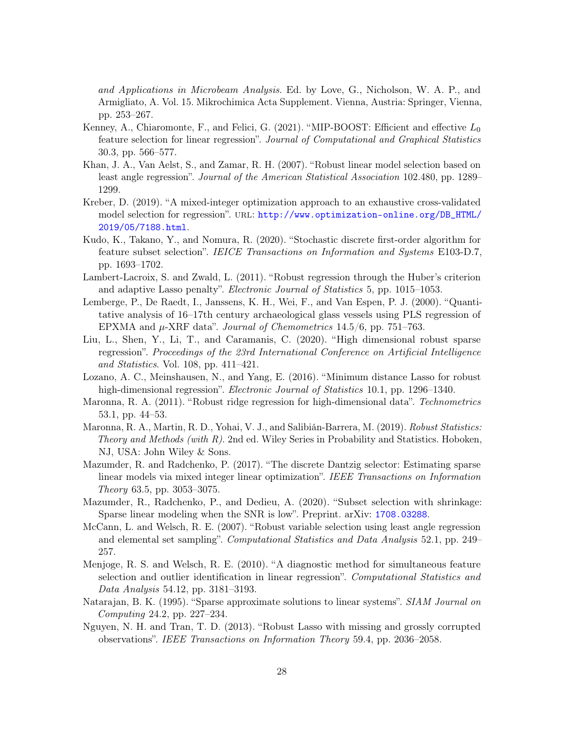and Applications in Microbeam Analysis. Ed. by Love, G., Nicholson, W. A. P., and Armigliato, A. Vol. 15. Mikrochimica Acta Supplement. Vienna, Austria: Springer, Vienna, pp. 253–267.

- <span id="page-27-4"></span>Kenney, A., Chiaromonte, F., and Felici, G.  $(2021)$ . "MIP-BOOST: Efficient and effective  $L_0$ feature selection for linear regression". Journal of Computational and Graphical Statistics 30.3, pp. 566–577.
- <span id="page-27-9"></span>Khan, J. A., Van Aelst, S., and Zamar, R. H. (2007). "Robust linear model selection based on least angle regression". Journal of the American Statistical Association 102.480, pp. 1289– 1299.
- <span id="page-27-2"></span>Kreber, D. (2019). "A mixed-integer optimization approach to an exhaustive cross-validated model selection for regression". url: [http://www.optimization-online.org/DB\\_HTML/](http://www.optimization-online.org/DB_HTML/2019/05/7188.html) [2019/05/7188.html](http://www.optimization-online.org/DB_HTML/2019/05/7188.html).
- <span id="page-27-13"></span>Kudo, K., Takano, Y., and Nomura, R. (2020). "Stochastic discrete first-order algorithm for feature subset selection". IEICE Transactions on Information and Systems E103-D.7, pp. 1693–1702.
- <span id="page-27-5"></span>Lambert-Lacroix, S. and Zwald, L. (2011). "Robust regression through the Huber's criterion and adaptive Lasso penalty". Electronic Journal of Statistics 5, pp. 1015–1053.
- <span id="page-27-14"></span>Lemberge, P., De Raedt, I., Janssens, K. H., Wei, F., and Van Espen, P. J. (2000). "Quantitative analysis of 16–17th century archaeological glass vessels using PLS regression of EPXMA and  $\mu$ -XRF data". *Journal of Chemometrics* 14.5/6, pp. 751–763.
- <span id="page-27-10"></span>Liu, L., Shen, Y., Li, T., and Caramanis, C. (2020). "High dimensional robust sparse regression". Proceedings of the 23rd International Conference on Artificial Intelligence and Statistics. Vol. 108, pp. 411–421.
- <span id="page-27-7"></span>Lozano, A. C., Meinshausen, N., and Yang, E. (2016). "Minimum distance Lasso for robust high-dimensional regression". Electronic Journal of Statistics 10.1, pp. 1296–1340.
- <span id="page-27-15"></span>Maronna, R. A. (2011). "Robust ridge regression for high-dimensional data". Technometrics 53.1, pp. 44–53.
- <span id="page-27-8"></span>Maronna, R. A., Martin, R. D., Yohai, V. J., and Salibián-Barrera, M. (2019). Robust Statistics: Theory and Methods (with  $R$ ). 2nd ed. Wiley Series in Probability and Statistics. Hoboken, NJ, USA: John Wiley & Sons.
- <span id="page-27-1"></span>Mazumder, R. and Radchenko, P. (2017). "The discrete Dantzig selector: Estimating sparse linear models via mixed integer linear optimization". IEEE Transactions on Information Theory 63.5, pp. 3053–3075.
- <span id="page-27-3"></span>Mazumder, R., Radchenko, P., and Dedieu, A. (2020). "Subset selection with shrinkage: Sparse linear modeling when the SNR is low". Preprint. arXiv: [1708.03288](https://arxiv.org/abs/1708.03288).
- <span id="page-27-11"></span>McCann, L. and Welsch, R. E. (2007). "Robust variable selection using least angle regression and elemental set sampling". Computational Statistics and Data Analysis 52.1, pp. 249– 257.
- <span id="page-27-12"></span>Menjoge, R. S. and Welsch, R. E. (2010). "A diagnostic method for simultaneous feature selection and outlier identification in linear regression". Computational Statistics and Data Analysis 54.12, pp. 3181–3193.
- <span id="page-27-0"></span>Natarajan, B. K. (1995). "Sparse approximate solutions to linear systems". *SIAM Journal on* Computing 24.2, pp. 227–234.
- <span id="page-27-6"></span>Nguyen, N. H. and Tran, T. D. (2013). "Robust Lasso with missing and grossly corrupted observations". IEEE Transactions on Information Theory 59.4, pp. 2036–2058.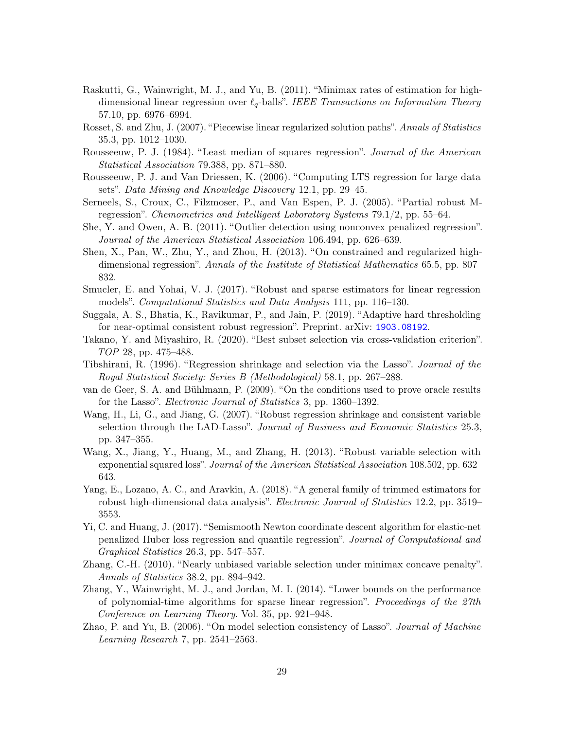- <span id="page-28-1"></span>Raskutti, G., Wainwright, M. J., and Yu, B. (2011). "Minimax rates of estimation for highdimensional linear regression over  $\ell_q$ -balls". IEEE Transactions on Information Theory 57.10, pp. 6976–6994.
- <span id="page-28-7"></span>Rosset, S. and Zhu, J. (2007). "Piecewise linear regularized solution paths". Annals of Statistics 35.3, pp. 1012–1030.
- <span id="page-28-10"></span>Rousseeuw, P. J. (1984). "Least median of squares regression". Journal of the American Statistical Association 79.388, pp. 871–880.
- <span id="page-28-16"></span>Rousseeuw, P. J. and Van Driessen, K. (2006). "Computing LTS regression for large data sets". Data Mining and Knowledge Discovery 12.1, pp. 29–45.
- <span id="page-28-18"></span>Serneels, S., Croux, C., Filzmoser, P., and Van Espen, P. J. (2005). "Partial robust Mregression". Chemometrics and Intelligent Laboratory Systems 79.1/2, pp. 55–64.
- <span id="page-28-15"></span>She, Y. and Owen, A. B. (2011). "Outlier detection using nonconvex penalized regression". Journal of the American Statistical Association 106.494, pp. 626–639.
- <span id="page-28-2"></span>Shen, X., Pan, W., Zhu, Y., and Zhou, H. (2013). "On constrained and regularized highdimensional regression". Annals of the Institute of Statistical Mathematics 65.5, pp. 807– 832.
- <span id="page-28-6"></span>Smucler, E. and Yohai, V. J. (2017). "Robust and sparse estimators for linear regression models". Computational Statistics and Data Analysis 111, pp. 116–130.
- <span id="page-28-14"></span>Suggala, A. S., Bhatia, K., Ravikumar, P., and Jain, P. (2019). "Adaptive hard thresholding for near-optimal consistent robust regression". Preprint. arXiv: [1903.08192](https://arxiv.org/abs/1903.08192).
- <span id="page-28-4"></span>Takano, Y. and Miyashiro, R. (2020). "Best subset selection via cross-validation criterion". TOP 28, pp. 475–488.
- <span id="page-28-0"></span>Tibshirani, R. (1996). "Regression shrinkage and selection via the Lasso". Journal of the Royal Statistical Society: Series B (Methodological) 58.1, pp. 267–288.
- <span id="page-28-12"></span>van de Geer, S. A. and Bühlmann, P. (2009). "On the conditions used to prove oracle results for the Lasso". Electronic Journal of Statistics 3, pp. 1360–1392.
- <span id="page-28-5"></span>Wang, H., Li, G., and Jiang, G. (2007). "Robust regression shrinkage and consistent variable selection through the LAD-Lasso". Journal of Business and Economic Statistics 25.3, pp. 347–355.
- <span id="page-28-8"></span>Wang, X., Jiang, Y., Huang, M., and Zhang, H. (2013). "Robust variable selection with exponential squared loss". Journal of the American Statistical Association 108.502, pp. 632– 643.
- <span id="page-28-9"></span>Yang, E., Lozano, A. C., and Aravkin, A. (2018). "A general family of trimmed estimators for robust high-dimensional data analysis". Electronic Journal of Statistics 12.2, pp. 3519– 3553.
- <span id="page-28-17"></span>Yi, C. and Huang, J. (2017). "Semismooth Newton coordinate descent algorithm for elastic-net penalized Huber loss regression and quantile regression". Journal of Computational and Graphical Statistics 26.3, pp. 547–557.
- <span id="page-28-11"></span>Zhang, C.-H. (2010). "Nearly unbiased variable selection under minimax concave penalty". Annals of Statistics 38.2, pp. 894–942.
- <span id="page-28-3"></span>Zhang, Y., Wainwright, M. J., and Jordan, M. I. (2014). "Lower bounds on the performance of polynomial-time algorithms for sparse linear regression". Proceedings of the 27th Conference on Learning Theory. Vol. 35, pp. 921–948.
- <span id="page-28-13"></span>Zhao, P. and Yu, B. (2006). "On model selection consistency of Lasso". Journal of Machine Learning Research 7, pp. 2541–2563.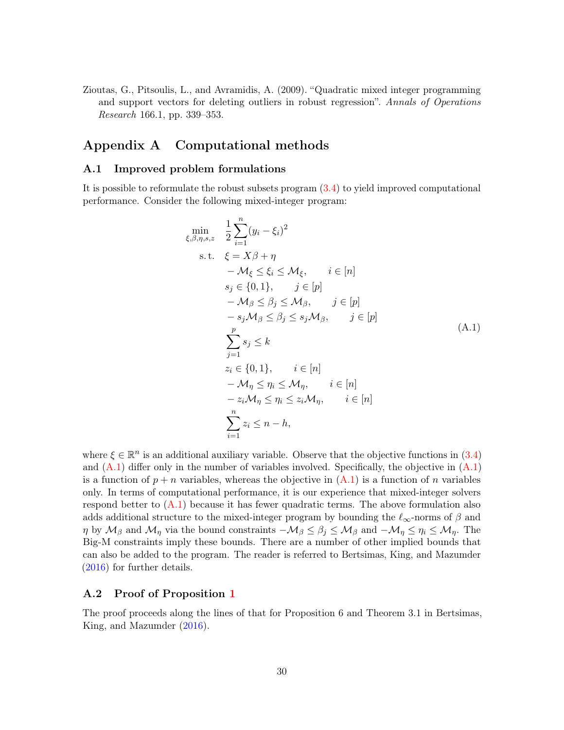<span id="page-29-0"></span>Zioutas, G., Pitsoulis, L., and Avramidis, A. (2009). "Quadratic mixed integer programming and support vectors for deleting outliers in robust regression". Annals of Operations Research 166.1, pp. 339–353.

## Appendix A Computational methods

### A.1 Improved problem formulations

It is possible to reformulate the robust subsets program [\(3.4\)](#page-8-0) to yield improved computational performance. Consider the following mixed-integer program:

<span id="page-29-1"></span>
$$
\min_{\xi,\beta,\eta,s,z} \frac{1}{2} \sum_{i=1}^{n} (y_i - \xi_i)^2
$$
\n
$$
\text{s.t.} \quad \xi = X\beta + \eta
$$
\n
$$
-\mathcal{M}_{\xi} \leq \xi_i \leq \mathcal{M}_{\xi}, \qquad i \in [n]
$$
\n
$$
s_j \in \{0,1\}, \qquad j \in [p]
$$
\n
$$
-\mathcal{M}_{\beta} \leq \beta_j \leq \mathcal{M}_{\beta}, \qquad j \in [p]
$$
\n
$$
-s_j \mathcal{M}_{\beta} \leq \beta_j \leq s_j \mathcal{M}_{\beta}, \qquad j \in [p]
$$
\n
$$
\sum_{j=1}^{p} s_j \leq k
$$
\n
$$
z_i \in \{0,1\}, \qquad i \in [n]
$$
\n
$$
-\mathcal{M}_{\eta} \leq \eta_i \leq \mathcal{M}_{\eta}, \qquad i \in [n]
$$
\n
$$
-z_i \mathcal{M}_{\eta} \leq \eta_i \leq z_i \mathcal{M}_{\eta}, \qquad i \in [n]
$$
\n
$$
\sum_{i=1}^{n} z_i \leq n - h,
$$

where  $\xi \in \mathbb{R}^n$  is an additional auxiliary variable. Observe that the objective functions in [\(3.4\)](#page-8-0) and  $(A.1)$  differ only in the number of variables involved. Specifically, the objective in  $(A.1)$ is a function of  $p + n$  variables, whereas the objective in  $(A.1)$  is a function of n variables only. In terms of computational performance, it is our experience that mixed-integer solvers respond better to  $(A.1)$  because it has fewer quadratic terms. The above formulation also adds additional structure to the mixed-integer program by bounding the  $\ell_{\infty}$ -norms of  $\beta$  and  $\eta$  by  $\mathcal{M}_{\beta}$  and  $\mathcal{M}_{\eta}$  via the bound constraints  $-\mathcal{M}_{\beta} \leq \beta_j \leq \mathcal{M}_{\beta}$  and  $-\mathcal{M}_{\eta} \leq \eta_i \leq \mathcal{M}_{\eta}$ . The Big-M constraints imply these bounds. There are a number of other implied bounds that can also be added to the program. The reader is referred to Bertsimas, King, and Mazumder [\(2016\)](#page-25-1) for further details.

### A.2 Proof of Proposition [1](#page-12-0)

The proof proceeds along the lines of that for Proposition 6 and Theorem 3.1 in Bertsimas, King, and Mazumder [\(2016\)](#page-25-1).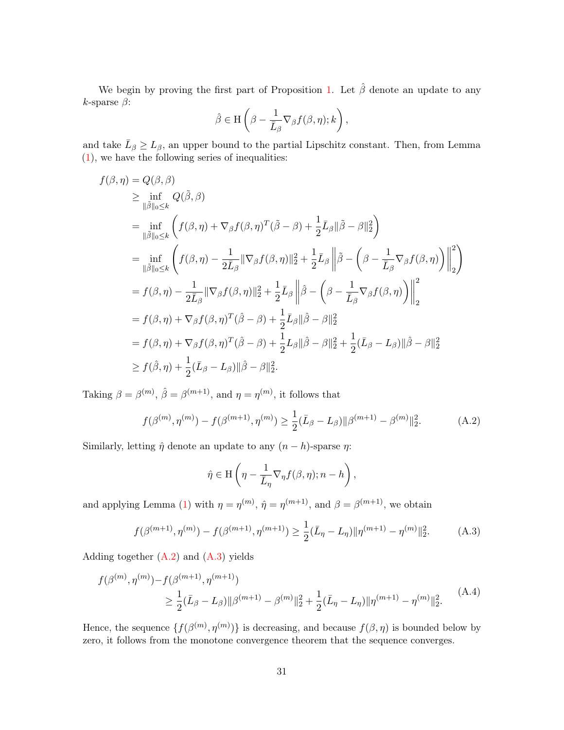We begin by proving the first part of Proposition [1.](#page-12-0) Let  $\hat{\beta}$  denote an update to any k-sparse  $\beta$ :

$$
\hat{\beta} \in \mathcal{H}\left(\beta - \frac{1}{\bar{L}_{\beta}}\nabla_{\beta}f(\beta,\eta);k\right),\,
$$

and take  $\bar{L}_{\beta} \ge L_{\beta}$ , an upper bound to the partial Lipschitz constant. Then, from Lemma [\(1\)](#page-10-0), we have the following series of inequalities:

$$
f(\beta, \eta) = Q(\beta, \beta)
$$
  
\n
$$
\geq \inf_{\|\tilde{\beta}\|_{0} \leq k} Q(\tilde{\beta}, \beta)
$$
  
\n
$$
= \inf_{\|\tilde{\beta}\|_{0} \leq k} \left( f(\beta, \eta) + \nabla_{\beta} f(\beta, \eta)^{T} (\tilde{\beta} - \beta) + \frac{1}{2} \bar{L}_{\beta} \|\tilde{\beta} - \beta\|_{2}^{2} \right)
$$
  
\n
$$
= \inf_{\|\tilde{\beta}\|_{0} \leq k} \left( f(\beta, \eta) - \frac{1}{2\bar{L}_{\beta}} \|\nabla_{\beta} f(\beta, \eta)\|_{2}^{2} + \frac{1}{2} \bar{L}_{\beta} \left\|\tilde{\beta} - \left(\beta - \frac{1}{\bar{L}_{\beta}} \nabla_{\beta} f(\beta, \eta)\right)\right\|_{2}^{2} \right)
$$
  
\n
$$
= f(\beta, \eta) - \frac{1}{2\bar{L}_{\beta}} \|\nabla_{\beta} f(\beta, \eta)\|_{2}^{2} + \frac{1}{2} \bar{L}_{\beta} \left\|\hat{\beta} - \left(\beta - \frac{1}{\bar{L}_{\beta}} \nabla_{\beta} f(\beta, \eta)\right)\right\|_{2}^{2}
$$
  
\n
$$
= f(\beta, \eta) + \nabla_{\beta} f(\beta, \eta)^{T} (\hat{\beta} - \beta) + \frac{1}{2} \bar{L}_{\beta} \|\hat{\beta} - \beta\|_{2}^{2}
$$
  
\n
$$
= f(\beta, \eta) + \nabla_{\beta} f(\beta, \eta)^{T} (\hat{\beta} - \beta) + \frac{1}{2} L_{\beta} \|\hat{\beta} - \beta\|_{2}^{2} + \frac{1}{2} (\bar{L}_{\beta} - L_{\beta}) \|\hat{\beta} - \beta\|_{2}^{2}
$$
  
\n
$$
\geq f(\hat{\beta}, \eta) + \frac{1}{2} (\bar{L}_{\beta} - L_{\beta}) \|\hat{\beta} - \beta\|_{2}^{2}.
$$

Taking  $\beta = \beta^{(m)}$ ,  $\hat{\beta} = \beta^{(m+1)}$ , and  $\eta = \eta^{(m)}$ , it follows that

$$
f(\beta^{(m)}, \eta^{(m)}) - f(\beta^{(m+1)}, \eta^{(m)}) \ge \frac{1}{2} (\bar{L}_{\beta} - L_{\beta}) ||\beta^{(m+1)} - \beta^{(m)}||_2^2.
$$
 (A.2)

Similarly, letting  $\hat{\eta}$  denote an update to any  $(n - h)$ -sparse  $\eta$ :

<span id="page-30-2"></span><span id="page-30-1"></span><span id="page-30-0"></span>
$$
\hat{\eta} \in \mathcal{H}\left(\eta - \frac{1}{\bar{L}_{\eta}}\nabla_{\eta}f(\beta,\eta);n-h\right),\,
$$

and applying Lemma [\(1\)](#page-10-0) with  $\eta = \eta^{(m)}$ ,  $\hat{\eta} = \eta^{(m+1)}$ , and  $\beta = \beta^{(m+1)}$ , we obtain

$$
f(\beta^{(m+1)}, \eta^{(m)}) - f(\beta^{(m+1)}, \eta^{(m+1)}) \ge \frac{1}{2}(\bar{L}_{\eta} - L_{\eta}) \|\eta^{(m+1)} - \eta^{(m)}\|_2^2.
$$
 (A.3)

Adding together  $(A.2)$  and  $(A.3)$  yields

$$
f(\beta^{(m)}, \eta^{(m)}) - f(\beta^{(m+1)}, \eta^{(m+1)})
$$
  
\n
$$
\geq \frac{1}{2} (\bar{L}_{\beta} - L_{\beta}) ||\beta^{(m+1)} - \beta^{(m)}||_2^2 + \frac{1}{2} (\bar{L}_{\eta} - L_{\eta}) ||\eta^{(m+1)} - \eta^{(m)}||_2^2.
$$
 (A.4)

Hence, the sequence  $\{f(\beta^{(m)}, \eta^{(m)})\}$  is decreasing, and because  $f(\beta, \eta)$  is bounded below by zero, it follows from the monotone convergence theorem that the sequence converges.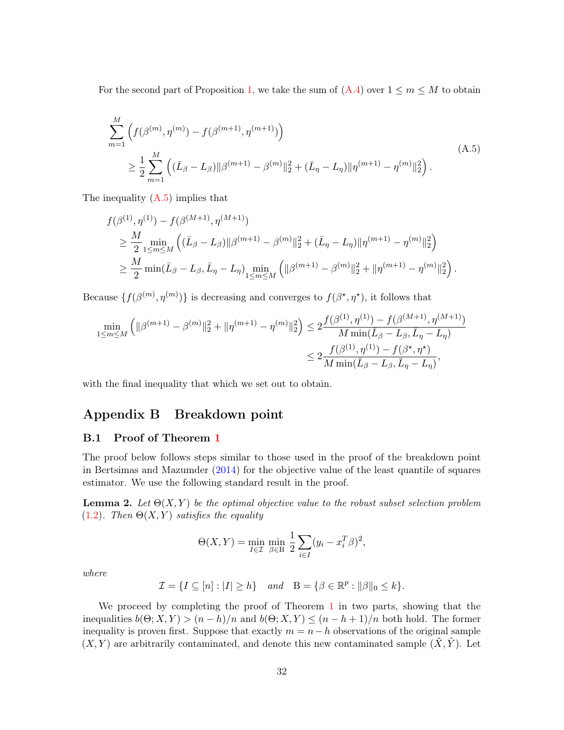<span id="page-31-0"></span>For the second part of Proposition [1,](#page-12-0) we take the sum of  $(A.4)$  over  $1 \le m \le M$  to obtain

$$
\sum_{m=1}^{M} \left( f(\beta^{(m)}, \eta^{(m)}) - f(\beta^{(m+1)}, \eta^{(m+1)}) \right)
$$
\n
$$
\geq \frac{1}{2} \sum_{m=1}^{M} \left( (\bar{L}_{\beta} - L_{\beta}) ||\beta^{(m+1)} - \beta^{(m)}||_2^2 + (\bar{L}_{\eta} - L_{\eta}) ||\eta^{(m+1)} - \eta^{(m)}||_2^2 \right).
$$
\n(A.5)

The inequality  $(A.5)$  implies that

$$
f(\beta^{(1)}, \eta^{(1)}) - f(\beta^{(M+1)}, \eta^{(M+1)})
$$
  
\n
$$
\geq \frac{M}{2} \min_{1 \leq m \leq M} \left( (\bar{L}_{\beta} - L_{\beta}) ||\beta^{(m+1)} - \beta^{(m)}||_2^2 + (\bar{L}_{\eta} - L_{\eta}) ||\eta^{(m+1)} - \eta^{(m)}||_2^2 \right)
$$
  
\n
$$
\geq \frac{M}{2} \min(\bar{L}_{\beta} - L_{\beta}, \bar{L}_{\eta} - L_{\eta}) \min_{1 \leq m \leq M} \left( ||\beta^{(m+1)} - \beta^{(m)}||_2^2 + ||\eta^{(m+1)} - \eta^{(m)}||_2^2 \right).
$$

Because  $\{f(\beta^{(m)}, \eta^{(m)})\}$  is decreasing and converges to  $f(\beta^*, \eta^*)$ , it follows that

$$
\min_{1 \le m \le M} \left( \| \beta^{(m+1)} - \beta^{(m)} \|_{2}^{2} + \| \eta^{(m+1)} - \eta^{(m)} \|_{2}^{2} \right) \le 2 \frac{f(\beta^{(1)}, \eta^{(1)}) - f(\beta^{(M+1)}, \eta^{(M+1)})}{M \min(\bar{L}_{\beta} - L_{\beta}, \bar{L}_{\eta} - L_{\eta})} \n\le 2 \frac{f(\beta^{(1)}, \eta^{(1)}) - f(\beta^{\star}, \eta^{\star})}{M \min(\bar{L}_{\beta} - L_{\beta}, \bar{L}_{\eta} - L_{\eta})},
$$

with the final inequality that which we set out to obtain.

# Appendix B Breakdown point

### B.1 Proof of Theorem [1](#page-15-1)

The proof below follows steps similar to those used in the proof of the breakdown point in Bertsimas and Mazumder [\(2014\)](#page-25-10) for the objective value of the least quantile of squares estimator. We use the following standard result in the proof.

<span id="page-31-1"></span>**Lemma 2.** Let  $\Theta(X, Y)$  be the optimal objective value to the robust subset selection problem [\(1.2\)](#page-2-0). Then  $\Theta(X, Y)$  satisfies the equality

$$
\Theta(X,Y) = \min_{I \in \mathcal{I}} \min_{\beta \in \mathcal{B}} \frac{1}{2} \sum_{i \in I} (y_i - x_i^T \beta)^2,
$$

where

$$
\mathcal{I} = \{ I \subseteq [n] : |I| \ge h \} \quad and \quad B = \{ \beta \in \mathbb{R}^p : ||\beta||_0 \le k \}.
$$

We proceed by completing the proof of Theorem [1](#page-15-1) in two parts, showing that the inequalities  $b(\Theta; X, Y) > (n - h)/n$  and  $b(\Theta; X, Y) \le (n - h + 1)/n$  both hold. The former inequality is proven first. Suppose that exactly  $m = n - h$  observations of the original sample  $(X, Y)$  are arbitrarily contaminated, and denote this new contaminated sample  $(\tilde{X}, \tilde{Y})$ . Let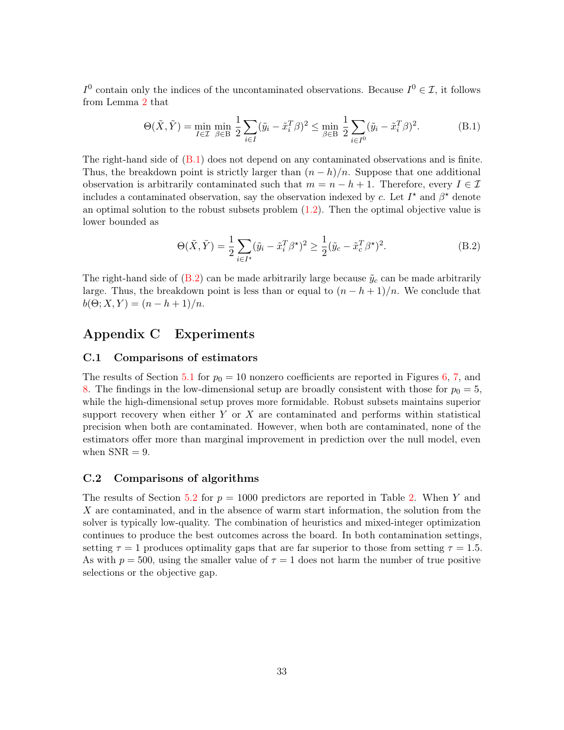$I^0$  contain only the indices of the uncontaminated observations. Because  $I^0 \in \mathcal{I}$ , it follows from Lemma [2](#page-31-1) that

<span id="page-32-0"></span>
$$
\Theta(\tilde{X}, \tilde{Y}) = \min_{I \in \mathcal{I}} \min_{\beta \in \mathcal{B}} \frac{1}{2} \sum_{i \in I} (\tilde{y}_i - \tilde{x}_i^T \beta)^2 \le \min_{\beta \in \mathcal{B}} \frac{1}{2} \sum_{i \in I^0} (\tilde{y}_i - \tilde{x}_i^T \beta)^2.
$$
 (B.1)

The right-hand side of  $(B.1)$  does not depend on any contaminated observations and is finite. Thus, the breakdown point is strictly larger than  $(n - h)/n$ . Suppose that one additional observation is arbitrarily contaminated such that  $m = n - h + 1$ . Therefore, every  $I \in \mathcal{I}$ includes a contaminated observation, say the observation indexed by c. Let  $I^*$  and  $\beta^*$  denote an optimal solution to the robust subsets problem  $(1.2)$ . Then the optimal objective value is lower bounded as

<span id="page-32-1"></span>
$$
\Theta(\tilde{X}, \tilde{Y}) = \frac{1}{2} \sum_{i \in I^*} (\tilde{y}_i - \tilde{x}_i^T \beta^*)^2 \ge \frac{1}{2} (\tilde{y}_c - \tilde{x}_c^T \beta^*)^2.
$$
 (B.2)

The right-hand side of  $(B.2)$  can be made arbitrarily large because  $\tilde{y}_c$  can be made arbitrarily large. Thus, the breakdown point is less than or equal to  $(n - h + 1)/n$ . We conclude that  $b(\Theta; X, Y) = (n - h + 1)/n.$ 

## Appendix C Experiments

### C.1 Comparisons of estimators

The results of Section [5.1](#page-16-0) for  $p_0 = 10$  nonzero coefficients are reported in Figures [6,](#page-33-0) [7,](#page-34-0) and [8.](#page-35-0) The findings in the low-dimensional setup are broadly consistent with those for  $p_0 = 5$ , while the high-dimensional setup proves more formidable. Robust subsets maintains superior support recovery when either  $Y$  or  $X$  are contaminated and performs within statistical precision when both are contaminated. However, when both are contaminated, none of the estimators offer more than marginal improvement in prediction over the null model, even when  $SNR = 9$ .

### C.2 Comparisons of algorithms

The results of Section [5.2](#page-20-0) for  $p = 1000$  predictors are reported in Table [2.](#page-35-1) When Y and X are contaminated, and in the absence of warm start information, the solution from the solver is typically low-quality. The combination of heuristics and mixed-integer optimization continues to produce the best outcomes across the board. In both contamination settings, setting  $\tau = 1$  produces optimality gaps that are far superior to those from setting  $\tau = 1.5$ . As with  $p = 500$ , using the smaller value of  $\tau = 1$  does not harm the number of true positive selections or the objective gap.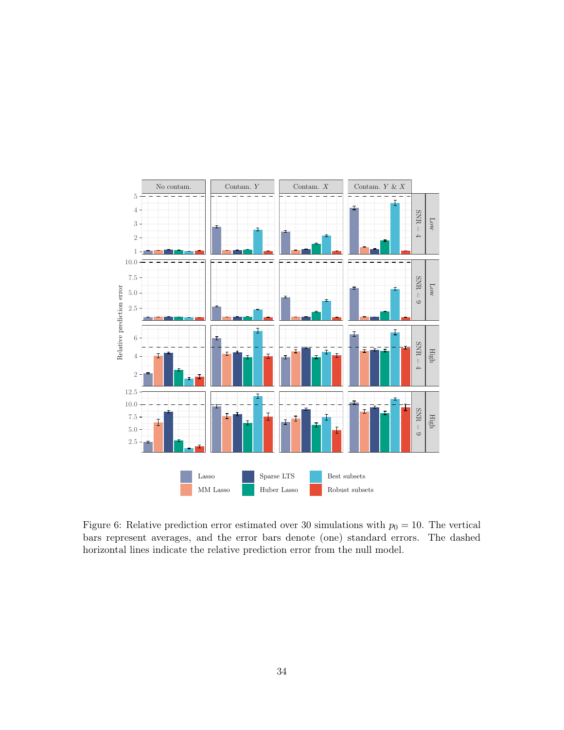

<span id="page-33-0"></span>Figure 6: Relative prediction error estimated over 30 simulations with  $p_0 = 10$ . The vertical bars represent averages, and the error bars denote (one) standard errors. The dashed horizontal lines indicate the relative prediction error from the null model.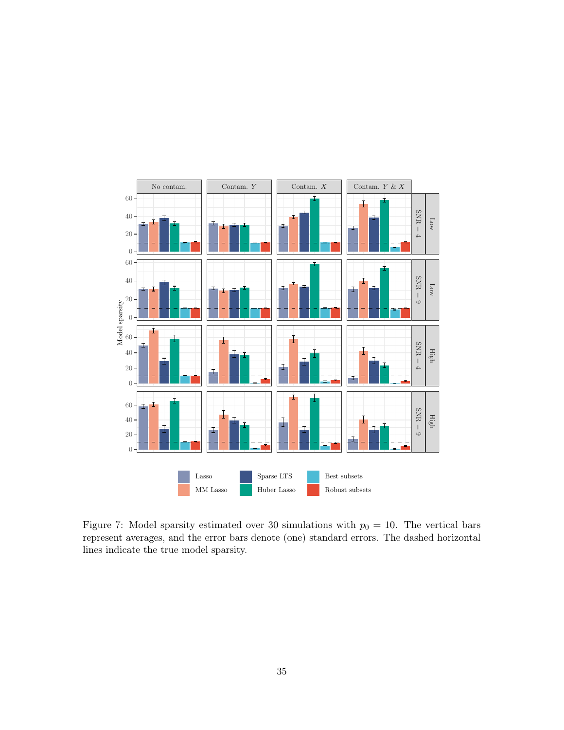

<span id="page-34-0"></span>Figure 7: Model sparsity estimated over 30 simulations with  $p_0 = 10$ . The vertical bars represent averages, and the error bars denote (one) standard errors. The dashed horizontal lines indicate the true model sparsity.